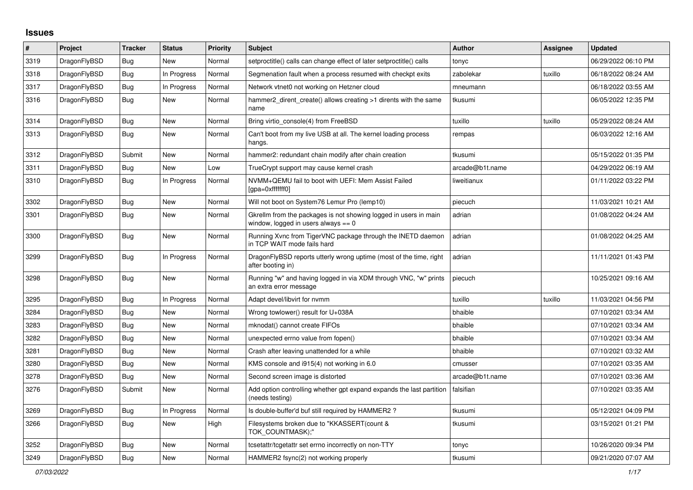## **Issues**

| #    | Project      | Tracker    | <b>Status</b> | Priority | <b>Subject</b>                                                                                            | <b>Author</b>   | Assignee | Updated             |
|------|--------------|------------|---------------|----------|-----------------------------------------------------------------------------------------------------------|-----------------|----------|---------------------|
| 3319 | DragonFlyBSD | <b>Bug</b> | <b>New</b>    | Normal   | setproctitle() calls can change effect of later setproctitle() calls                                      | tonyc           |          | 06/29/2022 06:10 PM |
| 3318 | DragonFlyBSD | <b>Bug</b> | In Progress   | Normal   | Segmenation fault when a process resumed with checkpt exits                                               | zabolekar       | tuxillo  | 06/18/2022 08:24 AM |
| 3317 | DragonFlyBSD | <b>Bug</b> | In Progress   | Normal   | Network vtnet0 not working on Hetzner cloud                                                               | mneumann        |          | 06/18/2022 03:55 AM |
| 3316 | DragonFlyBSD | Bug        | New           | Normal   | hammer2_dirent_create() allows creating >1 dirents with the same<br>name                                  | tkusumi         |          | 06/05/2022 12:35 PM |
| 3314 | DragonFlyBSD | <b>Bug</b> | <b>New</b>    | Normal   | Bring virtio console(4) from FreeBSD                                                                      | tuxillo         | tuxillo  | 05/29/2022 08:24 AM |
| 3313 | DragonFlyBSD | <b>Bug</b> | New           | Normal   | Can't boot from my live USB at all. The kernel loading process<br>hangs.                                  | rempas          |          | 06/03/2022 12:16 AM |
| 3312 | DragonFlyBSD | Submit     | <b>New</b>    | Normal   | hammer2: redundant chain modify after chain creation                                                      | tkusumi         |          | 05/15/2022 01:35 PM |
| 3311 | DragonFlyBSD | <b>Bug</b> | <b>New</b>    | Low      | TrueCrypt support may cause kernel crash                                                                  | arcade@b1t.name |          | 04/29/2022 06:19 AM |
| 3310 | DragonFlyBSD | <b>Bug</b> | In Progress   | Normal   | NVMM+QEMU fail to boot with UEFI: Mem Assist Failed<br>[gpa=0xfffffff0]                                   | liweitianux     |          | 01/11/2022 03:22 PM |
| 3302 | DragonFlyBSD | <b>Bug</b> | New           | Normal   | Will not boot on System76 Lemur Pro (lemp10)                                                              | piecuch         |          | 11/03/2021 10:21 AM |
| 3301 | DragonFlyBSD | Bug        | New           | Normal   | Gkrellm from the packages is not showing logged in users in main<br>window, logged in users always $== 0$ | adrian          |          | 01/08/2022 04:24 AM |
| 3300 | DragonFlyBSD | Bug        | <b>New</b>    | Normal   | Running Xvnc from TigerVNC package through the INETD daemon<br>in TCP WAIT mode fails hard                | adrian          |          | 01/08/2022 04:25 AM |
| 3299 | DragonFlyBSD | <b>Bug</b> | In Progress   | Normal   | DragonFlyBSD reports utterly wrong uptime (most of the time, right<br>after booting in)                   | adrian          |          | 11/11/2021 01:43 PM |
| 3298 | DragonFlyBSD | Bug        | New           | Normal   | Running "w" and having logged in via XDM through VNC, "w" prints<br>an extra error message                | piecuch         |          | 10/25/2021 09:16 AM |
| 3295 | DragonFlyBSD | Bug        | In Progress   | Normal   | Adapt devel/libvirt for nymm                                                                              | tuxillo         | tuxillo  | 11/03/2021 04:56 PM |
| 3284 | DragonFlyBSD | Bug        | <b>New</b>    | Normal   | Wrong towlower() result for U+038A                                                                        | bhaible         |          | 07/10/2021 03:34 AM |
| 3283 | DragonFlyBSD | <b>Bug</b> | New           | Normal   | mknodat() cannot create FIFOs                                                                             | bhaible         |          | 07/10/2021 03:34 AM |
| 3282 | DragonFlyBSD | <b>Bug</b> | New           | Normal   | unexpected errno value from fopen()                                                                       | bhaible         |          | 07/10/2021 03:34 AM |
| 3281 | DragonFlyBSD | <b>Bug</b> | New           | Normal   | Crash after leaving unattended for a while                                                                | bhaible         |          | 07/10/2021 03:32 AM |
| 3280 | DragonFlyBSD | Bug        | New           | Normal   | KMS console and i915(4) not working in 6.0                                                                | cmusser         |          | 07/10/2021 03:35 AM |
| 3278 | DragonFlyBSD | Bug        | New           | Normal   | Second screen image is distorted                                                                          | arcade@b1t.name |          | 07/10/2021 03:36 AM |
| 3276 | DragonFlyBSD | Submit     | New           | Normal   | Add option controlling whether gpt expand expands the last partition<br>(needs testing)                   | falsifian       |          | 07/10/2021 03:35 AM |
| 3269 | DragonFlyBSD | <b>Bug</b> | In Progress   | Normal   | Is double-buffer'd buf still required by HAMMER2?                                                         | tkusumi         |          | 05/12/2021 04:09 PM |
| 3266 | DragonFlyBSD | Bug        | New           | High     | Filesystems broken due to "KKASSERT(count &<br>TOK_COUNTMASK);"                                           | tkusumi         |          | 03/15/2021 01:21 PM |
| 3252 | DragonFlyBSD | <b>Bug</b> | New           | Normal   | tcsetattr/tcgetattr set errno incorrectly on non-TTY                                                      | tonyc           |          | 10/26/2020 09:34 PM |
| 3249 | DragonFlyBSD | <b>Bug</b> | New           | Normal   | HAMMER2 fsync(2) not working properly                                                                     | tkusumi         |          | 09/21/2020 07:07 AM |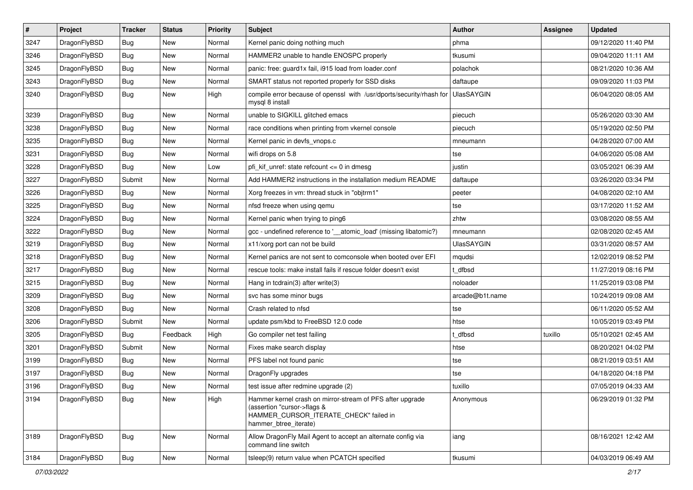| $\#$ | Project      | <b>Tracker</b> | <b>Status</b> | <b>Priority</b> | Subject                                                                                                                                                     | <b>Author</b>     | Assignee | <b>Updated</b>      |
|------|--------------|----------------|---------------|-----------------|-------------------------------------------------------------------------------------------------------------------------------------------------------------|-------------------|----------|---------------------|
| 3247 | DragonFlyBSD | <b>Bug</b>     | New           | Normal          | Kernel panic doing nothing much                                                                                                                             | phma              |          | 09/12/2020 11:40 PM |
| 3246 | DragonFlyBSD | <b>Bug</b>     | <b>New</b>    | Normal          | HAMMER2 unable to handle ENOSPC properly                                                                                                                    | tkusumi           |          | 09/04/2020 11:11 AM |
| 3245 | DragonFlyBSD | <b>Bug</b>     | New           | Normal          | panic: free: guard1x fail, i915 load from loader.conf                                                                                                       | polachok          |          | 08/21/2020 10:36 AM |
| 3243 | DragonFlyBSD | Bug            | New           | Normal          | SMART status not reported properly for SSD disks                                                                                                            | daftaupe          |          | 09/09/2020 11:03 PM |
| 3240 | DragonFlyBSD | <b>Bug</b>     | New           | High            | compile error because of openssl with /usr/dports/security/rhash for<br>mysql 8 install                                                                     | <b>UlasSAYGIN</b> |          | 06/04/2020 08:05 AM |
| 3239 | DragonFlyBSD | Bug            | New           | Normal          | unable to SIGKILL glitched emacs                                                                                                                            | piecuch           |          | 05/26/2020 03:30 AM |
| 3238 | DragonFlyBSD | Bug            | New           | Normal          | race conditions when printing from vkernel console                                                                                                          | piecuch           |          | 05/19/2020 02:50 PM |
| 3235 | DragonFlyBSD | Bug            | New           | Normal          | Kernel panic in devfs_vnops.c                                                                                                                               | mneumann          |          | 04/28/2020 07:00 AM |
| 3231 | DragonFlyBSD | <b>Bug</b>     | New           | Normal          | wifi drops on 5.8                                                                                                                                           | tse               |          | 04/06/2020 05:08 AM |
| 3228 | DragonFlyBSD | <b>Bug</b>     | New           | Low             | pfi kif unref: state refcount $\leq$ 0 in dmesg                                                                                                             | justin            |          | 03/05/2021 06:39 AM |
| 3227 | DragonFlyBSD | Submit         | New           | Normal          | Add HAMMER2 instructions in the installation medium README                                                                                                  | daftaupe          |          | 03/26/2020 03:34 PM |
| 3226 | DragonFlyBSD | Bug            | New           | Normal          | Xorg freezes in vm: thread stuck in "objtrm1"                                                                                                               | peeter            |          | 04/08/2020 02:10 AM |
| 3225 | DragonFlyBSD | <b>Bug</b>     | New           | Normal          | nfsd freeze when using qemu                                                                                                                                 | tse               |          | 03/17/2020 11:52 AM |
| 3224 | DragonFlyBSD | <b>Bug</b>     | New           | Normal          | Kernel panic when trying to ping6                                                                                                                           | zhtw              |          | 03/08/2020 08:55 AM |
| 3222 | DragonFlyBSD | <b>Bug</b>     | New           | Normal          | gcc - undefined reference to '__atomic_load' (missing libatomic?)                                                                                           | mneumann          |          | 02/08/2020 02:45 AM |
| 3219 | DragonFlyBSD | <b>Bug</b>     | New           | Normal          | x11/xorg port can not be build                                                                                                                              | <b>UlasSAYGIN</b> |          | 03/31/2020 08:57 AM |
| 3218 | DragonFlyBSD | <b>Bug</b>     | New           | Normal          | Kernel panics are not sent to comconsole when booted over EFI                                                                                               | mqudsi            |          | 12/02/2019 08:52 PM |
| 3217 | DragonFlyBSD | <b>Bug</b>     | New           | Normal          | rescue tools: make install fails if rescue folder doesn't exist                                                                                             | t dfbsd           |          | 11/27/2019 08:16 PM |
| 3215 | DragonFlyBSD | Bug            | New           | Normal          | Hang in tcdrain(3) after write(3)                                                                                                                           | noloader          |          | 11/25/2019 03:08 PM |
| 3209 | DragonFlyBSD | Bug            | New           | Normal          | svc has some minor bugs                                                                                                                                     | arcade@b1t.name   |          | 10/24/2019 09:08 AM |
| 3208 | DragonFlyBSD | <b>Bug</b>     | New           | Normal          | Crash related to nfsd                                                                                                                                       | tse               |          | 06/11/2020 05:52 AM |
| 3206 | DragonFlyBSD | Submit         | New           | Normal          | update psm/kbd to FreeBSD 12.0 code                                                                                                                         | htse              |          | 10/05/2019 03:49 PM |
| 3205 | DragonFlyBSD | <b>Bug</b>     | Feedback      | High            | Go compiler net test failing                                                                                                                                | t dfbsd           | tuxillo  | 05/10/2021 02:45 AM |
| 3201 | DragonFlyBSD | Submit         | New           | Normal          | Fixes make search display                                                                                                                                   | htse              |          | 08/20/2021 04:02 PM |
| 3199 | DragonFlyBSD | Bug            | New           | Normal          | PFS label not found panic                                                                                                                                   | tse               |          | 08/21/2019 03:51 AM |
| 3197 | DragonFlyBSD | <b>Bug</b>     | New           | Normal          | DragonFly upgrades                                                                                                                                          | tse               |          | 04/18/2020 04:18 PM |
| 3196 | DragonFlyBSD | Bug            | New           | Normal          | test issue after redmine upgrade (2)                                                                                                                        | tuxillo           |          | 07/05/2019 04:33 AM |
| 3194 | DragonFlyBSD | Bug            | New           | High            | Hammer kernel crash on mirror-stream of PFS after upgrade<br>(assertion "cursor->flags &<br>HAMMER_CURSOR_ITERATE_CHECK" failed in<br>hammer_btree_iterate) | Anonymous         |          | 06/29/2019 01:32 PM |
| 3189 | DragonFlyBSD | Bug            | New           | Normal          | Allow DragonFly Mail Agent to accept an alternate config via<br>command line switch                                                                         | iang              |          | 08/16/2021 12:42 AM |
| 3184 | DragonFlyBSD | Bug            | New           | Normal          | tsleep(9) return value when PCATCH specified                                                                                                                | tkusumi           |          | 04/03/2019 06:49 AM |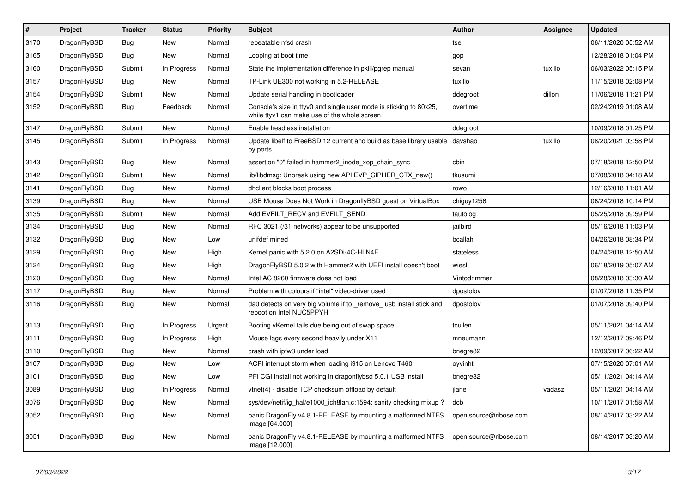| $\vert$ # | <b>Project</b> | <b>Tracker</b> | <b>Status</b> | <b>Priority</b> | <b>Subject</b>                                                                                                     | Author                 | Assignee | <b>Updated</b>      |
|-----------|----------------|----------------|---------------|-----------------|--------------------------------------------------------------------------------------------------------------------|------------------------|----------|---------------------|
| 3170      | DragonFlyBSD   | Bug            | New           | Normal          | repeatable nfsd crash                                                                                              | tse                    |          | 06/11/2020 05:52 AM |
| 3165      | DragonFlyBSD   | Bug            | New           | Normal          | Looping at boot time                                                                                               | gop                    |          | 12/28/2018 01:04 PM |
| 3160      | DragonFlyBSD   | Submit         | In Progress   | Normal          | State the implementation difference in pkill/pgrep manual                                                          | sevan                  | tuxillo  | 06/03/2022 05:15 PM |
| 3157      | DragonFlyBSD   | Bug            | New           | Normal          | TP-Link UE300 not working in 5.2-RELEASE                                                                           | tuxillo                |          | 11/15/2018 02:08 PM |
| 3154      | DragonFlyBSD   | Submit         | <b>New</b>    | Normal          | Update serial handling in bootloader                                                                               | ddegroot               | dillon   | 11/06/2018 11:21 PM |
| 3152      | DragonFlyBSD   | Bug            | Feedback      | Normal          | Console's size in ttyv0 and single user mode is sticking to 80x25,<br>while ttyv1 can make use of the whole screen | overtime               |          | 02/24/2019 01:08 AM |
| 3147      | DragonFlyBSD   | Submit         | New           | Normal          | Enable headless installation                                                                                       | ddegroot               |          | 10/09/2018 01:25 PM |
| 3145      | DragonFlyBSD   | Submit         | In Progress   | Normal          | Update libelf to FreeBSD 12 current and build as base library usable<br>by ports                                   | davshao                | tuxillo  | 08/20/2021 03:58 PM |
| 3143      | DragonFlyBSD   | <b>Bug</b>     | <b>New</b>    | Normal          | assertion "0" failed in hammer2 inode xop chain sync                                                               | cbin                   |          | 07/18/2018 12:50 PM |
| 3142      | DragonFlyBSD   | Submit         | <b>New</b>    | Normal          | lib/libdmsg: Unbreak using new API EVP_CIPHER_CTX_new()                                                            | tkusumi                |          | 07/08/2018 04:18 AM |
| 3141      | DragonFlyBSD   | <b>Bug</b>     | <b>New</b>    | Normal          | dhclient blocks boot process                                                                                       | rowo                   |          | 12/16/2018 11:01 AM |
| 3139      | DragonFlyBSD   | <b>Bug</b>     | <b>New</b>    | Normal          | USB Mouse Does Not Work in DragonflyBSD guest on VirtualBox                                                        | chiguy1256             |          | 06/24/2018 10:14 PM |
| 3135      | DragonFlyBSD   | Submit         | New           | Normal          | Add EVFILT RECV and EVFILT SEND                                                                                    | tautolog               |          | 05/25/2018 09:59 PM |
| 3134      | DragonFlyBSD   | <b>Bug</b>     | <b>New</b>    | Normal          | RFC 3021 (/31 networks) appear to be unsupported                                                                   | jailbird               |          | 05/16/2018 11:03 PM |
| 3132      | DragonFlyBSD   | Bug            | <b>New</b>    | Low             | unifdef mined                                                                                                      | bcallah                |          | 04/26/2018 08:34 PM |
| 3129      | DragonFlyBSD   | <b>Bug</b>     | <b>New</b>    | High            | Kernel panic with 5.2.0 on A2SDi-4C-HLN4F                                                                          | stateless              |          | 04/24/2018 12:50 AM |
| 3124      | DragonFlyBSD   | <b>Bug</b>     | New           | High            | DragonFlyBSD 5.0.2 with Hammer2 with UEFI install doesn't boot                                                     | wiesl                  |          | 06/18/2019 05:07 AM |
| 3120      | DragonFlyBSD   | <b>Bug</b>     | <b>New</b>    | Normal          | Intel AC 8260 firmware does not load                                                                               | Vintodrimmer           |          | 08/28/2018 03:30 AM |
| 3117      | DragonFlyBSD   | <b>Bug</b>     | <b>New</b>    | Normal          | Problem with colours if "intel" video-driver used                                                                  | dpostolov              |          | 01/07/2018 11:35 PM |
| 3116      | DragonFlyBSD   | Bug            | New           | Normal          | da0 detects on very big volume if to remove usb install stick and<br>reboot on Intel NUC5PPYH                      | dpostolov              |          | 01/07/2018 09:40 PM |
| 3113      | DragonFlyBSD   | <b>Bug</b>     | In Progress   | Urgent          | Booting vKernel fails due being out of swap space                                                                  | tcullen                |          | 05/11/2021 04:14 AM |
| 3111      | DragonFlyBSD   | <b>Bug</b>     | In Progress   | High            | Mouse lags every second heavily under X11                                                                          | mneumann               |          | 12/12/2017 09:46 PM |
| 3110      | DragonFlyBSD   | Bug            | New           | Normal          | crash with ipfw3 under load                                                                                        | bnegre82               |          | 12/09/2017 06:22 AM |
| 3107      | DragonFlyBSD   | Bug            | New           | Low             | ACPI interrupt storm when loading i915 on Lenovo T460                                                              | oyvinht                |          | 07/15/2020 07:01 AM |
| 3101      | DragonFlyBSD   | <b>Bug</b>     | New           | Low             | PFI CGI install not working in dragonflybsd 5.0.1 USB install                                                      | bnegre82               |          | 05/11/2021 04:14 AM |
| 3089      | DragonFlyBSD   | <b>Bug</b>     | In Progress   | Normal          | vtnet(4) - disable TCP checksum offload by default                                                                 | jlane                  | vadaszi  | 05/11/2021 04:14 AM |
| 3076      | DragonFlyBSD   | <b>Bug</b>     | <b>New</b>    | Normal          | sys/dev/netif/ig hal/e1000 ich8lan.c:1594: sanity checking mixup?                                                  | dcb                    |          | 10/11/2017 01:58 AM |
| 3052      | DragonFlyBSD   | <b>Bug</b>     | <b>New</b>    | Normal          | panic DragonFly v4.8.1-RELEASE by mounting a malformed NTFS<br>image [64.000]                                      | open.source@ribose.com |          | 08/14/2017 03:22 AM |
| 3051      | DragonFlyBSD   | Bug            | <b>New</b>    | Normal          | panic DragonFly v4.8.1-RELEASE by mounting a malformed NTFS<br>image [12.000]                                      | open.source@ribose.com |          | 08/14/2017 03:20 AM |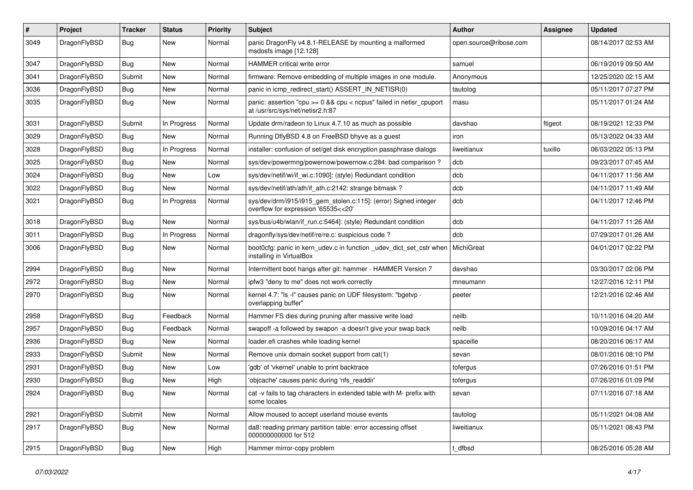| #    | Project      | <b>Tracker</b> | <b>Status</b> | <b>Priority</b> | Subject                                                                                                 | Author                 | Assignee | <b>Updated</b>      |
|------|--------------|----------------|---------------|-----------------|---------------------------------------------------------------------------------------------------------|------------------------|----------|---------------------|
| 3049 | DragonFlyBSD | Bug            | New           | Normal          | panic DragonFly v4.8.1-RELEASE by mounting a malformed<br>msdosfs image [12.128]                        | open.source@ribose.com |          | 08/14/2017 02:53 AM |
| 3047 | DragonFlyBSD | <b>Bug</b>     | New           | Normal          | HAMMER critical write error                                                                             | samuel                 |          | 06/19/2019 09:50 AM |
| 3041 | DragonFlyBSD | Submit         | <b>New</b>    | Normal          | firmware: Remove embedding of multiple images in one module.                                            | Anonymous              |          | 12/25/2020 02:15 AM |
| 3036 | DragonFlyBSD | <b>Bug</b>     | New           | Normal          | panic in icmp_redirect_start() ASSERT_IN_NETISR(0)                                                      | tautolog               |          | 05/11/2017 07:27 PM |
| 3035 | DragonFlyBSD | <b>Bug</b>     | New           | Normal          | panic: assertion "cpu >= 0 && cpu < ncpus" failed in netisr_cpuport<br>at /usr/src/sys/net/netisr2.h:87 | masu                   |          | 05/11/2017 01:24 AM |
| 3031 | DragonFlyBSD | Submit         | In Progress   | Normal          | Update drm/radeon to Linux 4.7.10 as much as possible                                                   | davshao                | ftigeot  | 08/19/2021 12:33 PM |
| 3029 | DragonFlyBSD | Bug            | New           | Normal          | Running DflyBSD 4.8 on FreeBSD bhyve as a guest                                                         | iron                   |          | 05/13/2022 04:33 AM |
| 3028 | DragonFlyBSD | Bug            | In Progress   | Normal          | installer: confusion of set/get disk encryption passphrase dialogs                                      | liweitianux            | tuxillo  | 06/03/2022 05:13 PM |
| 3025 | DragonFlyBSD | Bug            | New           | Normal          | sys/dev/powermng/powernow/powernow.c:284: bad comparison?                                               | dcb                    |          | 09/23/2017 07:45 AM |
| 3024 | DragonFlyBSD | Bug            | New           | Low             | sys/dev/netif/wi/if_wi.c:1090]: (style) Redundant condition                                             | dcb                    |          | 04/11/2017 11:56 AM |
| 3022 | DragonFlyBSD | Bug            | New           | Normal          | sys/dev/netif/ath/ath/if_ath.c:2142: strange bitmask?                                                   | dcb                    |          | 04/11/2017 11:49 AM |
| 3021 | DragonFlyBSD | Bug            | In Progress   | Normal          | sys/dev/drm/i915/i915_gem_stolen.c:115]: (error) Signed integer<br>overflow for expression '65535<<20'  | dcb                    |          | 04/11/2017 12:46 PM |
| 3018 | DragonFlyBSD | Bug            | New           | Normal          | sys/bus/u4b/wlan/if_run.c:5464]: (style) Redundant condition                                            | dcb                    |          | 04/11/2017 11:26 AM |
| 3011 | DragonFlyBSD | Bug            | In Progress   | Normal          | dragonfly/sys/dev/netif/re/re.c: suspicious code?                                                       | dcb                    |          | 07/29/2017 01:26 AM |
| 3006 | DragonFlyBSD | Bug            | New           | Normal          | boot0cfg: panic in kern_udev.c in function _udev_dict_set_cstr when<br>installing in VirtualBox         | MichiGreat             |          | 04/01/2017 02:22 PM |
| 2994 | DragonFlyBSD | Bug            | New           | Normal          | Intermittent boot hangs after git: hammer - HAMMER Version 7                                            | davshao                |          | 03/30/2017 02:06 PM |
| 2972 | DragonFlyBSD | Bug            | New           | Normal          | ipfw3 "deny to me" does not work correctly                                                              | mneumann               |          | 12/27/2016 12:11 PM |
| 2970 | DragonFlyBSD | Bug            | New           | Normal          | kernel 4.7: "Is -l" causes panic on UDF filesystem: "bgetvp -<br>overlapping buffer"                    | peeter                 |          | 12/21/2016 02:46 AM |
| 2958 | DragonFlyBSD | Bug            | Feedback      | Normal          | Hammer FS dies during pruning after massive write load                                                  | neilb                  |          | 10/11/2016 04:20 AM |
| 2957 | DragonFlyBSD | Bug            | Feedback      | Normal          | swapoff -a followed by swapon -a doesn't give your swap back                                            | neilb                  |          | 10/09/2016 04:17 AM |
| 2936 | DragonFlyBSD | Bug            | <b>New</b>    | Normal          | loader.efi crashes while loading kernel                                                                 | spaceille              |          | 08/20/2016 06:17 AM |
| 2933 | DragonFlyBSD | Submit         | New           | Normal          | Remove unix domain socket support from cat(1)                                                           | sevan                  |          | 08/01/2016 08:10 PM |
| 2931 | DragonFlyBSD | <b>Bug</b>     | New           | Low             | 'gdb' of 'vkernel' unable to print backtrace                                                            | tofergus               |          | 07/26/2016 01:51 PM |
| 2930 | DragonFlyBSD | Bug            | New           | High            | 'objcache' causes panic during 'nfs readdir'                                                            | tofergus               |          | 07/26/2016 01:09 PM |
| 2924 | DragonFlyBSD | <b>Bug</b>     | New           | Normal          | cat -v fails to tag characters in extended table with M- prefix with<br>some locales                    | sevan                  |          | 07/11/2016 07:18 AM |
| 2921 | DragonFlyBSD | Submit         | New           | Normal          | Allow moused to accept userland mouse events                                                            | tautolog               |          | 05/11/2021 04:08 AM |
| 2917 | DragonFlyBSD | <b>Bug</b>     | New           | Normal          | da8: reading primary partition table: error accessing offset<br>000000000000 for 512                    | liweitianux            |          | 05/11/2021 08:43 PM |
| 2915 | DragonFlyBSD | <b>Bug</b>     | New           | High            | Hammer mirror-copy problem                                                                              | t_dfbsd                |          | 08/25/2016 05:28 AM |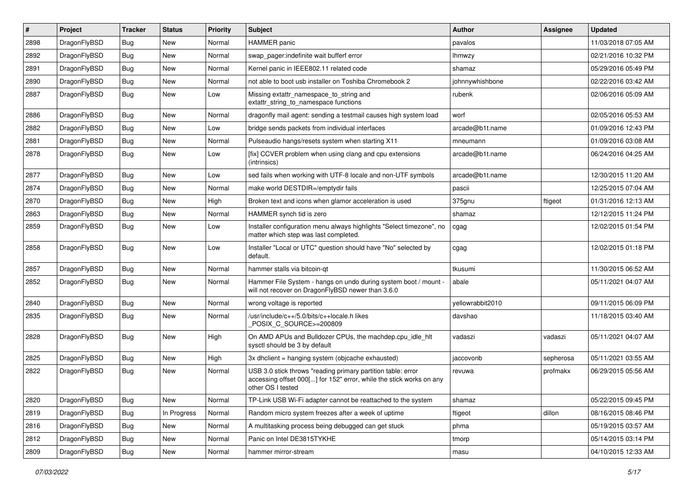| #    | Project      | <b>Tracker</b> | <b>Status</b> | <b>Priority</b> | Subject                                                                                                                                                  | Author           | Assignee  | <b>Updated</b>      |
|------|--------------|----------------|---------------|-----------------|----------------------------------------------------------------------------------------------------------------------------------------------------------|------------------|-----------|---------------------|
| 2898 | DragonFlyBSD | Bug            | <b>New</b>    | Normal          | <b>HAMMER</b> panic                                                                                                                                      | pavalos          |           | 11/03/2018 07:05 AM |
| 2892 | DragonFlyBSD | Bug            | <b>New</b>    | Normal          | swap_pager:indefinite wait bufferf error                                                                                                                 | <b>Ihmwzy</b>    |           | 02/21/2016 10:32 PM |
| 2891 | DragonFlyBSD | <b>Bug</b>     | New           | Normal          | Kernel panic in IEEE802.11 related code                                                                                                                  | shamaz           |           | 05/29/2016 05:49 PM |
| 2890 | DragonFlyBSD | Bug            | <b>New</b>    | Normal          | not able to boot usb installer on Toshiba Chromebook 2                                                                                                   | johnnywhishbone  |           | 02/22/2016 03:42 AM |
| 2887 | DragonFlyBSD | Bug            | New           | Low             | Missing extattr_namespace_to_string and<br>extattr_string_to_namespace functions                                                                         | rubenk           |           | 02/06/2016 05:09 AM |
| 2886 | DragonFlyBSD | Bug            | New           | Normal          | dragonfly mail agent: sending a testmail causes high system load                                                                                         | worf             |           | 02/05/2016 05:53 AM |
| 2882 | DragonFlyBSD | <b>Bug</b>     | <b>New</b>    | Low             | bridge sends packets from individual interfaces                                                                                                          | arcade@b1t.name  |           | 01/09/2016 12:43 PM |
| 2881 | DragonFlyBSD | Bug            | <b>New</b>    | Normal          | Pulseaudio hangs/resets system when starting X11                                                                                                         | mneumann         |           | 01/09/2016 03:08 AM |
| 2878 | DragonFlyBSD | Bug            | New           | Low             | [fix] CCVER problem when using clang and cpu extensions<br>(intrinsics)                                                                                  | arcade@b1t.name  |           | 06/24/2016 04:25 AM |
| 2877 | DragonFlyBSD | Bug            | <b>New</b>    | Low             | sed fails when working with UTF-8 locale and non-UTF symbols                                                                                             | arcade@b1t.name  |           | 12/30/2015 11:20 AM |
| 2874 | DragonFlyBSD | <b>Bug</b>     | New           | Normal          | make world DESTDIR=/emptydir fails                                                                                                                       | pascii           |           | 12/25/2015 07:04 AM |
| 2870 | DragonFlyBSD | Bug            | <b>New</b>    | High            | Broken text and icons when glamor acceleration is used                                                                                                   | 375gnu           | ftigeot   | 01/31/2016 12:13 AM |
| 2863 | DragonFlyBSD | Bug            | <b>New</b>    | Normal          | HAMMER synch tid is zero                                                                                                                                 | shamaz           |           | 12/12/2015 11:24 PM |
| 2859 | DragonFlyBSD | Bug            | New           | Low             | Installer configuration menu always highlights "Select timezone", no<br>matter which step was last completed.                                            | cgag             |           | 12/02/2015 01:54 PM |
| 2858 | DragonFlyBSD | <b>Bug</b>     | New           | Low             | Installer "Local or UTC" question should have "No" selected by<br>default.                                                                               | cgag             |           | 12/02/2015 01:18 PM |
| 2857 | DragonFlyBSD | Bug            | <b>New</b>    | Normal          | hammer stalls via bitcoin-qt                                                                                                                             | tkusumi          |           | 11/30/2015 06:52 AM |
| 2852 | DragonFlyBSD | Bug            | New           | Normal          | Hammer File System - hangs on undo during system boot / mount -<br>will not recover on DragonFlyBSD newer than 3.6.0                                     | abale            |           | 05/11/2021 04:07 AM |
| 2840 | DragonFlyBSD | Bug            | New           | Normal          | wrong voltage is reported                                                                                                                                | yellowrabbit2010 |           | 09/11/2015 06:09 PM |
| 2835 | DragonFlyBSD | <b>Bug</b>     | New           | Normal          | /usr/include/c++/5.0/bits/c++locale.h likes<br>POSIX_C_SOURCE>=200809                                                                                    | davshao          |           | 11/18/2015 03:40 AM |
| 2828 | DragonFlyBSD | <b>Bug</b>     | New           | High            | On AMD APUs and Bulldozer CPUs, the machdep.cpu_idle_hlt<br>sysctl should be 3 by default                                                                | vadaszi          | vadaszi   | 05/11/2021 04:07 AM |
| 2825 | DragonFlyBSD | Bug            | <b>New</b>    | High            | 3x dhclient = hanging system (objcache exhausted)                                                                                                        | jaccovonb        | sepherosa | 05/11/2021 03:55 AM |
| 2822 | DragonFlyBSD | Bug            | <b>New</b>    | Normal          | USB 3.0 stick throws "reading primary partition table: error<br>accessing offset 000[] for 152" error, while the stick works on any<br>other OS I tested | revuwa           | profmakx  | 06/29/2015 05:56 AM |
| 2820 | DragonFlyBSD | Bug            | New           | Normal          | TP-Link USB Wi-Fi adapter cannot be reattached to the system                                                                                             | shamaz           |           | 05/22/2015 09:45 PM |
| 2819 | DragonFlyBSD | Bug            | In Progress   | Normal          | Random micro system freezes after a week of uptime                                                                                                       | ftigeot          | dillon    | 08/16/2015 08:46 PM |
| 2816 | DragonFlyBSD | <b>Bug</b>     | <b>New</b>    | Normal          | A multitasking process being debugged can get stuck                                                                                                      | phma             |           | 05/19/2015 03:57 AM |
| 2812 | DragonFlyBSD | <b>Bug</b>     | New           | Normal          | Panic on Intel DE3815TYKHE                                                                                                                               | tmorp            |           | 05/14/2015 03:14 PM |
| 2809 | DragonFlyBSD | <b>Bug</b>     | New           | Normal          | hammer mirror-stream                                                                                                                                     | masu             |           | 04/10/2015 12:33 AM |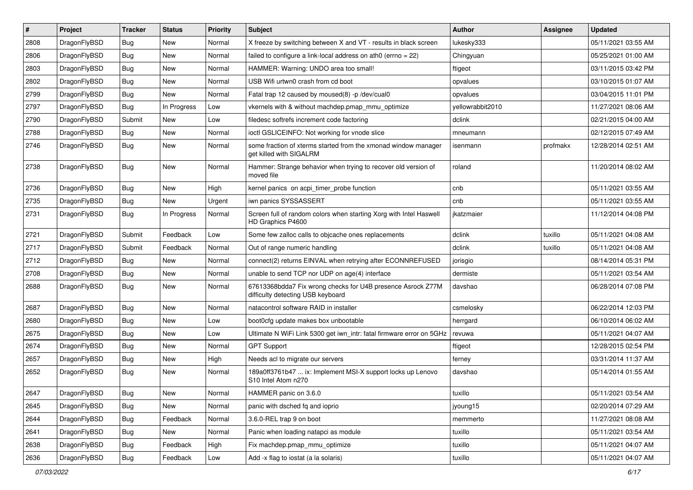| $\pmb{\#}$ | Project      | <b>Tracker</b> | <b>Status</b> | <b>Priority</b> | Subject                                                                                          | <b>Author</b>    | <b>Assignee</b> | <b>Updated</b>      |
|------------|--------------|----------------|---------------|-----------------|--------------------------------------------------------------------------------------------------|------------------|-----------------|---------------------|
| 2808       | DragonFlyBSD | Bug            | New           | Normal          | X freeze by switching between X and VT - results in black screen                                 | lukesky333       |                 | 05/11/2021 03:55 AM |
| 2806       | DragonFlyBSD | Bug            | <b>New</b>    | Normal          | failed to configure a link-local address on ath0 (errno = 22)                                    | Chingyuan        |                 | 05/25/2021 01:00 AM |
| 2803       | DragonFlyBSD | Bug            | New           | Normal          | HAMMER: Warning: UNDO area too small!                                                            | ftigeot          |                 | 03/11/2015 03:42 PM |
| 2802       | DragonFlyBSD | Bug            | <b>New</b>    | Normal          | USB Wifi urtwn0 crash from cd boot                                                               | opvalues         |                 | 03/10/2015 01:07 AM |
| 2799       | DragonFlyBSD | Bug            | New           | Normal          | Fatal trap 12 caused by moused(8) -p /dev/cual0                                                  | opvalues         |                 | 03/04/2015 11:01 PM |
| 2797       | DragonFlyBSD | <b>Bug</b>     | In Progress   | Low             | vkernels with & without machdep.pmap mmu optimize                                                | yellowrabbit2010 |                 | 11/27/2021 08:06 AM |
| 2790       | DragonFlyBSD | Submit         | New           | Low             | filedesc softrefs increment code factoring                                                       | dclink           |                 | 02/21/2015 04:00 AM |
| 2788       | DragonFlyBSD | Bug            | <b>New</b>    | Normal          | ioctl GSLICEINFO: Not working for vnode slice                                                    | mneumann         |                 | 02/12/2015 07:49 AM |
| 2746       | DragonFlyBSD | Bug            | New           | Normal          | some fraction of xterms started from the xmonad window manager<br>get killed with SIGALRM        | isenmann         | profmakx        | 12/28/2014 02:51 AM |
| 2738       | DragonFlyBSD | Bug            | <b>New</b>    | Normal          | Hammer: Strange behavior when trying to recover old version of<br>moved file                     | roland           |                 | 11/20/2014 08:02 AM |
| 2736       | DragonFlyBSD | Bug            | <b>New</b>    | High            | kernel panics on acpi timer probe function                                                       | cnb              |                 | 05/11/2021 03:55 AM |
| 2735       | DragonFlyBSD | Bug            | New           | Urgent          | iwn panics SYSSASSERT                                                                            | cnb              |                 | 05/11/2021 03:55 AM |
| 2731       | DragonFlyBSD | Bug            | In Progress   | Normal          | Screen full of random colors when starting Xorg with Intel Haswell<br>HD Graphics P4600          | ikatzmaier       |                 | 11/12/2014 04:08 PM |
| 2721       | DragonFlyBSD | Submit         | Feedback      | Low             | Some few zalloc calls to objcache ones replacements                                              | dclink           | tuxillo         | 05/11/2021 04:08 AM |
| 2717       | DragonFlyBSD | Submit         | Feedback      | Normal          | Out of range numeric handling                                                                    | dclink           | tuxillo         | 05/11/2021 04:08 AM |
| 2712       | DragonFlyBSD | Bug            | <b>New</b>    | Normal          | connect(2) returns EINVAL when retrying after ECONNREFUSED                                       | jorisgio         |                 | 08/14/2014 05:31 PM |
| 2708       | DragonFlyBSD | Bug            | New           | Normal          | unable to send TCP nor UDP on age(4) interface                                                   | dermiste         |                 | 05/11/2021 03:54 AM |
| 2688       | DragonFlyBSD | Bug            | New           | Normal          | 67613368bdda7 Fix wrong checks for U4B presence Asrock Z77M<br>difficulty detecting USB keyboard | davshao          |                 | 06/28/2014 07:08 PM |
| 2687       | DragonFlyBSD | Bug            | <b>New</b>    | Normal          | natacontrol software RAID in installer                                                           | csmelosky        |                 | 06/22/2014 12:03 PM |
| 2680       | DragonFlyBSD | Bug            | New           | Low             | boot0cfg update makes box unbootable                                                             | herrgard         |                 | 06/10/2014 06:02 AM |
| 2675       | DragonFlyBSD | Bug            | New           | Low             | Ultimate N WiFi Link 5300 get iwn_intr: fatal firmware error on 5GHz                             | revuwa           |                 | 05/11/2021 04:07 AM |
| 2674       | DragonFlyBSD | Bug            | New           | Normal          | <b>GPT Support</b>                                                                               | ftigeot          |                 | 12/28/2015 02:54 PM |
| 2657       | DragonFlyBSD | Bug            | <b>New</b>    | High            | Needs acl to migrate our servers                                                                 | ferney           |                 | 03/31/2014 11:37 AM |
| 2652       | DragonFlyBSD | Bug            | New           | Normal          | 189a0ff3761b47  ix: Implement MSI-X support locks up Lenovo<br>S10 Intel Atom n270               | davshao          |                 | 05/14/2014 01:55 AM |
| 2647       | DragonFlyBSD | Bug            | New           | Normal          | HAMMER panic on 3.6.0                                                                            | tuxillo          |                 | 05/11/2021 03:54 AM |
| 2645       | DragonFlyBSD | Bug            | New           | Normal          | panic with dsched fq and ioprio                                                                  | jyoung15         |                 | 02/20/2014 07:29 AM |
| 2644       | DragonFlyBSD | <b>Bug</b>     | Feedback      | Normal          | 3.6.0-REL trap 9 on boot                                                                         | memmerto         |                 | 11/27/2021 08:08 AM |
| 2641       | DragonFlyBSD | <b>Bug</b>     | New           | Normal          | Panic when loading natapci as module                                                             | tuxillo          |                 | 05/11/2021 03:54 AM |
| 2638       | DragonFlyBSD | Bug            | Feedback      | High            | Fix machdep.pmap mmu optimize                                                                    | tuxillo          |                 | 05/11/2021 04:07 AM |
| 2636       | DragonFlyBSD | <b>Bug</b>     | Feedback      | Low             | Add -x flag to iostat (a la solaris)                                                             | tuxillo          |                 | 05/11/2021 04:07 AM |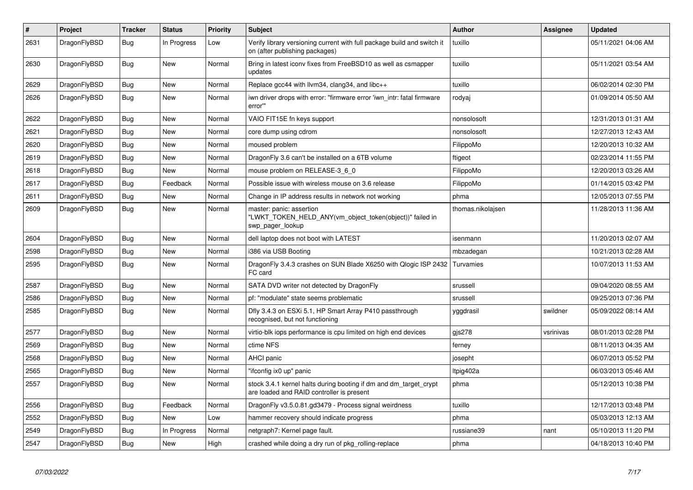| $\pmb{\#}$ | Project      | <b>Tracker</b> | <b>Status</b> | <b>Priority</b> | <b>Subject</b>                                                                                                 | <b>Author</b>     | Assignee  | Updated             |
|------------|--------------|----------------|---------------|-----------------|----------------------------------------------------------------------------------------------------------------|-------------------|-----------|---------------------|
| 2631       | DragonFlyBSD | Bug            | In Progress   | Low             | Verify library versioning current with full package build and switch it<br>on (after publishing packages)      | tuxillo           |           | 05/11/2021 04:06 AM |
| 2630       | DragonFlyBSD | <b>Bug</b>     | <b>New</b>    | Normal          | Bring in latest iconv fixes from FreeBSD10 as well as csmapper<br>updates                                      | tuxillo           |           | 05/11/2021 03:54 AM |
| 2629       | DragonFlyBSD | Bug            | <b>New</b>    | Normal          | Replace gcc44 with llvm34, clang34, and libc++                                                                 | tuxillo           |           | 06/02/2014 02:30 PM |
| 2626       | DragonFlyBSD | Bug            | <b>New</b>    | Normal          | iwn driver drops with error: "firmware error 'iwn_intr: fatal firmware<br>error"                               | rodyaj            |           | 01/09/2014 05:50 AM |
| 2622       | DragonFlyBSD | Bug            | <b>New</b>    | Normal          | VAIO FIT15E fn keys support                                                                                    | nonsolosoft       |           | 12/31/2013 01:31 AM |
| 2621       | DragonFlyBSD | <b>Bug</b>     | New           | Normal          | core dump using cdrom                                                                                          | nonsolosoft       |           | 12/27/2013 12:43 AM |
| 2620       | DragonFlyBSD | <b>Bug</b>     | <b>New</b>    | Normal          | moused problem                                                                                                 | FilippoMo         |           | 12/20/2013 10:32 AM |
| 2619       | DragonFlyBSD | Bug            | <b>New</b>    | Normal          | DragonFly 3.6 can't be installed on a 6TB volume                                                               | ftigeot           |           | 02/23/2014 11:55 PM |
| 2618       | DragonFlyBSD | <b>Bug</b>     | <b>New</b>    | Normal          | mouse problem on RELEASE-3_6_0                                                                                 | FilippoMo         |           | 12/20/2013 03:26 AM |
| 2617       | DragonFlyBSD | Bug            | Feedback      | Normal          | Possible issue with wireless mouse on 3.6 release                                                              | FilippoMo         |           | 01/14/2015 03:42 PM |
| 2611       | DragonFlyBSD | <b>Bug</b>     | <b>New</b>    | Normal          | Change in IP address results in network not working                                                            | phma              |           | 12/05/2013 07:55 PM |
| 2609       | DragonFlyBSD | Bug            | <b>New</b>    | Normal          | master: panic: assertion<br>"LWKT_TOKEN_HELD_ANY(vm_object_token(object))" failed in<br>swp pager lookup       | thomas.nikolajsen |           | 11/28/2013 11:36 AM |
| 2604       | DragonFlyBSD | <b>Bug</b>     | <b>New</b>    | Normal          | dell laptop does not boot with LATEST                                                                          | isenmann          |           | 11/20/2013 02:07 AM |
| 2598       | DragonFlyBSD | Bug            | <b>New</b>    | Normal          | i386 via USB Booting                                                                                           | mbzadegan         |           | 10/21/2013 02:28 AM |
| 2595       | DragonFlyBSD | Bug            | <b>New</b>    | Normal          | DragonFly 3.4.3 crashes on SUN Blade X6250 with Qlogic ISP 2432<br>FC card                                     | Turvamies         |           | 10/07/2013 11:53 AM |
| 2587       | DragonFlyBSD | Bug            | <b>New</b>    | Normal          | SATA DVD writer not detected by DragonFly                                                                      | srussell          |           | 09/04/2020 08:55 AM |
| 2586       | DragonFlyBSD | Bug            | <b>New</b>    | Normal          | pf: "modulate" state seems problematic                                                                         | srussell          |           | 09/25/2013 07:36 PM |
| 2585       | DragonFlyBSD | <b>Bug</b>     | <b>New</b>    | Normal          | Dfly 3.4.3 on ESXi 5.1, HP Smart Array P410 passthrough<br>recognised, but not functioning                     | yggdrasil         | swildner  | 05/09/2022 08:14 AM |
| 2577       | DragonFlyBSD | Bug            | <b>New</b>    | Normal          | virtio-blk iops performance is cpu limited on high end devices                                                 | gis278            | vsrinivas | 08/01/2013 02:28 PM |
| 2569       | DragonFlyBSD | <b>Bug</b>     | New           | Normal          | ctime NFS                                                                                                      | ferney            |           | 08/11/2013 04:35 AM |
| 2568       | DragonFlyBSD | Bug            | <b>New</b>    | Normal          | <b>AHCI</b> panic                                                                                              | josepht           |           | 06/07/2013 05:52 PM |
| 2565       | DragonFlyBSD | Bug            | New           | Normal          | "ifconfig ix0 up" panic                                                                                        | Itpig402a         |           | 06/03/2013 05:46 AM |
| 2557       | DragonFlyBSD | Bug            | New           | Normal          | stock 3.4.1 kernel halts during booting if dm and dm_target_crypt<br>are loaded and RAID controller is present | phma              |           | 05/12/2013 10:38 PM |
| 2556       | DragonFlyBSD | Bug            | Feedback      | Normal          | DragonFly v3.5.0.81.gd3479 - Process signal weirdness                                                          | tuxillo           |           | 12/17/2013 03:48 PM |
| 2552       | DragonFlyBSD | Bug            | <b>New</b>    | Low             | hammer recovery should indicate progress                                                                       | phma              |           | 05/03/2013 12:13 AM |
| 2549       | DragonFlyBSD | Bug            | In Progress   | Normal          | netgraph7: Kernel page fault.                                                                                  | russiane39        | nant      | 05/10/2013 11:20 PM |
| 2547       | DragonFlyBSD | Bug            | New           | High            | crashed while doing a dry run of pkg rolling-replace                                                           | phma              |           | 04/18/2013 10:40 PM |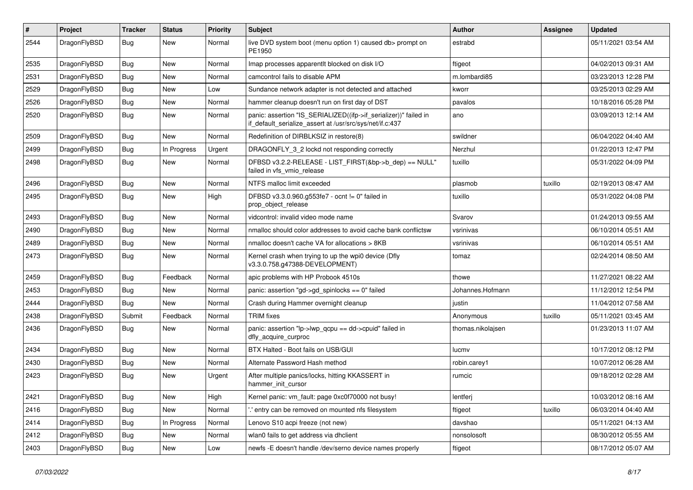| #    | Project      | <b>Tracker</b> | <b>Status</b> | <b>Priority</b> | Subject                                                                                                                      | Author            | Assignee | <b>Updated</b>      |
|------|--------------|----------------|---------------|-----------------|------------------------------------------------------------------------------------------------------------------------------|-------------------|----------|---------------------|
| 2544 | DragonFlyBSD | <b>Bug</b>     | New           | Normal          | live DVD system boot (menu option 1) caused db> prompt on<br>PE1950                                                          | estrabd           |          | 05/11/2021 03:54 AM |
| 2535 | DragonFlyBSD | <b>Bug</b>     | <b>New</b>    | Normal          | Imap processes apparentit blocked on disk I/O                                                                                | ftigeot           |          | 04/02/2013 09:31 AM |
| 2531 | DragonFlyBSD | Bug            | <b>New</b>    | Normal          | camcontrol fails to disable APM                                                                                              | m.lombardi85      |          | 03/23/2013 12:28 PM |
| 2529 | DragonFlyBSD | Bug            | <b>New</b>    | Low             | Sundance network adapter is not detected and attached                                                                        | kworr             |          | 03/25/2013 02:29 AM |
| 2526 | DragonFlyBSD | <b>Bug</b>     | New           | Normal          | hammer cleanup doesn't run on first day of DST                                                                               | pavalos           |          | 10/18/2016 05:28 PM |
| 2520 | DragonFlyBSD | <b>Bug</b>     | <b>New</b>    | Normal          | panic: assertion "IS_SERIALIZED((ifp->if_serializer))" failed in<br>if_default_serialize_assert at /usr/src/sys/net/if.c:437 | ano               |          | 03/09/2013 12:14 AM |
| 2509 | DragonFlyBSD | <b>Bug</b>     | <b>New</b>    | Normal          | Redefinition of DIRBLKSIZ in restore(8)                                                                                      | swildner          |          | 06/04/2022 04:40 AM |
| 2499 | DragonFlyBSD | <b>Bug</b>     | In Progress   | Urgent          | DRAGONFLY_3_2 lockd not responding correctly                                                                                 | Nerzhul           |          | 01/22/2013 12:47 PM |
| 2498 | DragonFlyBSD | <b>Bug</b>     | New           | Normal          | DFBSD v3.2.2-RELEASE - LIST_FIRST(&bp->b_dep) == NULL"<br>failed in vfs_vmio_release                                         | tuxillo           |          | 05/31/2022 04:09 PM |
| 2496 | DragonFlyBSD | Bug            | <b>New</b>    | Normal          | NTFS malloc limit exceeded                                                                                                   | plasmob           | tuxillo  | 02/19/2013 08:47 AM |
| 2495 | DragonFlyBSD | Bug            | New           | High            | DFBSD v3.3.0.960.g553fe7 - ocnt != 0" failed in<br>prop_object_release                                                       | tuxillo           |          | 05/31/2022 04:08 PM |
| 2493 | DragonFlyBSD | Bug            | <b>New</b>    | Normal          | vidcontrol: invalid video mode name                                                                                          | Svarov            |          | 01/24/2013 09:55 AM |
| 2490 | DragonFlyBSD | <b>Bug</b>     | <b>New</b>    | Normal          | nmalloc should color addresses to avoid cache bank conflictsw                                                                | vsrinivas         |          | 06/10/2014 05:51 AM |
| 2489 | DragonFlyBSD | <b>Bug</b>     | <b>New</b>    | Normal          | nmalloc doesn't cache VA for allocations > 8KB                                                                               | vsrinivas         |          | 06/10/2014 05:51 AM |
| 2473 | DragonFlyBSD | Bug            | New           | Normal          | Kernel crash when trying to up the wpi0 device (Dfly<br>v3.3.0.758.g47388-DEVELOPMENT)                                       | tomaz             |          | 02/24/2014 08:50 AM |
| 2459 | DragonFlyBSD | Bug            | Feedback      | Normal          | apic problems with HP Probook 4510s                                                                                          | thowe             |          | 11/27/2021 08:22 AM |
| 2453 | DragonFlyBSD | <b>Bug</b>     | New           | Normal          | panic: assertion "gd->gd_spinlocks == 0" failed                                                                              | Johannes.Hofmann  |          | 11/12/2012 12:54 PM |
| 2444 | DragonFlyBSD | <b>Bug</b>     | <b>New</b>    | Normal          | Crash during Hammer overnight cleanup                                                                                        | justin            |          | 11/04/2012 07:58 AM |
| 2438 | DragonFlyBSD | Submit         | Feedback      | Normal          | <b>TRIM</b> fixes                                                                                                            | Anonymous         | tuxillo  | 05/11/2021 03:45 AM |
| 2436 | DragonFlyBSD | <b>Bug</b>     | New           | Normal          | panic: assertion "lp->lwp_qcpu == dd->cpuid" failed in<br>dfly_acquire_curproc                                               | thomas.nikolajsen |          | 01/23/2013 11:07 AM |
| 2434 | DragonFlyBSD | Bug            | <b>New</b>    | Normal          | BTX Halted - Boot fails on USB/GUI                                                                                           | lucmv             |          | 10/17/2012 08:12 PM |
| 2430 | DragonFlyBSD | Bug            | New           | Normal          | Alternate Password Hash method                                                                                               | robin.carey1      |          | 10/07/2012 06:28 AM |
| 2423 | DragonFlyBSD | Bug            | <b>New</b>    | Urgent          | After multiple panics/locks, hitting KKASSERT in<br>hammer init cursor                                                       | rumcic            |          | 09/18/2012 02:28 AM |
| 2421 | DragonFlyBSD | <b>Bug</b>     | New           | High            | Kernel panic: vm_fault: page 0xc0f70000 not busy!                                                                            | lentferj          |          | 10/03/2012 08:16 AM |
| 2416 | DragonFlyBSD | <b>Bug</b>     | New           | Normal          | 'entry can be removed on mounted nfs filesystem                                                                              | ftigeot           | tuxillo  | 06/03/2014 04:40 AM |
| 2414 | DragonFlyBSD | <b>Bug</b>     | In Progress   | Normal          | Lenovo S10 acpi freeze (not new)                                                                                             | davshao           |          | 05/11/2021 04:13 AM |
| 2412 | DragonFlyBSD | <b>Bug</b>     | New           | Normal          | wlan0 fails to get address via dhclient                                                                                      | nonsolosoft       |          | 08/30/2012 05:55 AM |
| 2403 | DragonFlyBSD | Bug            | New           | Low             | newfs -E doesn't handle /dev/serno device names properly                                                                     | ftigeot           |          | 08/17/2012 05:07 AM |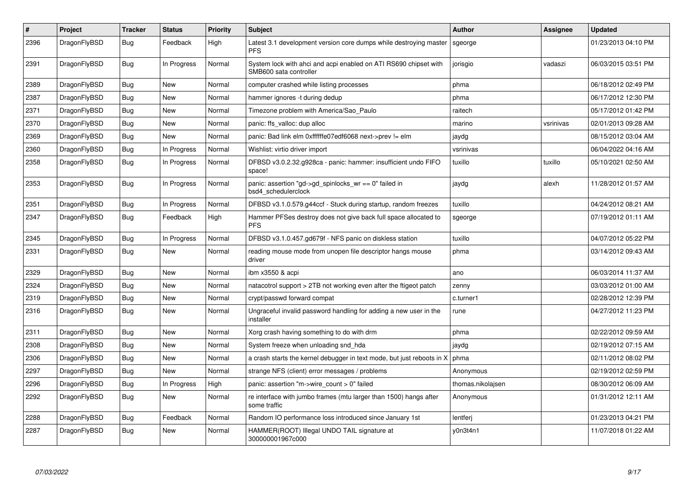| $\sharp$ | Project      | <b>Tracker</b> | <b>Status</b> | <b>Priority</b> | <b>Subject</b>                                                                             | <b>Author</b>     | Assignee  | <b>Updated</b>      |
|----------|--------------|----------------|---------------|-----------------|--------------------------------------------------------------------------------------------|-------------------|-----------|---------------------|
| 2396     | DragonFlyBSD | Bug            | Feedback      | High            | Latest 3.1 development version core dumps while destroying master<br><b>PFS</b>            | sgeorge           |           | 01/23/2013 04:10 PM |
| 2391     | DragonFlyBSD | Bug            | In Progress   | Normal          | System lock with ahci and acpi enabled on ATI RS690 chipset with<br>SMB600 sata controller | jorisgio          | vadaszi   | 06/03/2015 03:51 PM |
| 2389     | DragonFlyBSD | <b>Bug</b>     | <b>New</b>    | Normal          | computer crashed while listing processes                                                   | phma              |           | 06/18/2012 02:49 PM |
| 2387     | DragonFlyBSD | Bug            | New           | Normal          | hammer ignores -t during dedup                                                             | phma              |           | 06/17/2012 12:30 PM |
| 2371     | DragonFlyBSD | Bug            | New           | Normal          | Timezone problem with America/Sao Paulo                                                    | raitech           |           | 05/17/2012 01:42 PM |
| 2370     | DragonFlyBSD | <b>Bug</b>     | <b>New</b>    | Normal          | panic: ffs_valloc: dup alloc                                                               | marino            | vsrinivas | 02/01/2013 09:28 AM |
| 2369     | DragonFlyBSD | Bug            | <b>New</b>    | Normal          | panic: Bad link elm 0xffffffe07edf6068 next->prev != elm                                   | jaydg             |           | 08/15/2012 03:04 AM |
| 2360     | DragonFlyBSD | Bug            | In Progress   | Normal          | Wishlist: virtio driver import                                                             | vsrinivas         |           | 06/04/2022 04:16 AM |
| 2358     | DragonFlyBSD | <b>Bug</b>     | In Progress   | Normal          | DFBSD v3.0.2.32.g928ca - panic: hammer: insufficient undo FIFO<br>space!                   | tuxillo           | tuxillo   | 05/10/2021 02:50 AM |
| 2353     | DragonFlyBSD | <b>Bug</b>     | In Progress   | Normal          | panic: assertion "gd->gd_spinlocks_wr == 0" failed in<br>bsd4_schedulerclock               | jaydg             | alexh     | 11/28/2012 01:57 AM |
| 2351     | DragonFlyBSD | <b>Bug</b>     | In Progress   | Normal          | DFBSD v3.1.0.579.g44ccf - Stuck during startup, random freezes                             | tuxillo           |           | 04/24/2012 08:21 AM |
| 2347     | DragonFlyBSD | Bug            | Feedback      | High            | Hammer PFSes destroy does not give back full space allocated to<br><b>PFS</b>              | sgeorge           |           | 07/19/2012 01:11 AM |
| 2345     | DragonFlyBSD | <b>Bug</b>     | In Progress   | Normal          | DFBSD v3.1.0.457.gd679f - NFS panic on diskless station                                    | tuxillo           |           | 04/07/2012 05:22 PM |
| 2331     | DragonFlyBSD | Bug            | <b>New</b>    | Normal          | reading mouse mode from unopen file descriptor hangs mouse<br>driver                       | phma              |           | 03/14/2012 09:43 AM |
| 2329     | DragonFlyBSD | Bug            | <b>New</b>    | Normal          | ibm x3550 & acpi                                                                           | ano               |           | 06/03/2014 11:37 AM |
| 2324     | DragonFlyBSD | Bug            | New           | Normal          | natacotrol support > 2TB not working even after the ftigeot patch                          | zenny             |           | 03/03/2012 01:00 AM |
| 2319     | DragonFlyBSD | <b>Bug</b>     | New           | Normal          | crypt/passwd forward compat                                                                | c.turner1         |           | 02/28/2012 12:39 PM |
| 2316     | DragonFlyBSD | Bug            | New           | Normal          | Ungraceful invalid password handling for adding a new user in the<br>installer             | rune              |           | 04/27/2012 11:23 PM |
| 2311     | DragonFlyBSD | <b>Bug</b>     | <b>New</b>    | Normal          | Xorg crash having something to do with drm                                                 | phma              |           | 02/22/2012 09:59 AM |
| 2308     | DragonFlyBSD | Bug            | New           | Normal          | System freeze when unloading snd hda                                                       | jaydg             |           | 02/19/2012 07:15 AM |
| 2306     | DragonFlyBSD | <b>Bug</b>     | <b>New</b>    | Normal          | a crash starts the kernel debugger in text mode, but just reboots in X                     | phma              |           | 02/11/2012 08:02 PM |
| 2297     | DragonFlyBSD | <b>Bug</b>     | <b>New</b>    | Normal          | strange NFS (client) error messages / problems                                             | Anonymous         |           | 02/19/2012 02:59 PM |
| 2296     | DragonFlyBSD | <b>Bug</b>     | In Progress   | High            | panic: assertion "m->wire count > 0" failed                                                | thomas.nikolajsen |           | 08/30/2012 06:09 AM |
| 2292     | DragonFlyBSD | Bug            | New           | Normal          | re interface with jumbo frames (mtu larger than 1500) hangs after<br>some traffic          | Anonymous         |           | 01/31/2012 12:11 AM |
| 2288     | DragonFlyBSD | <b>Bug</b>     | Feedback      | Normal          | Random IO performance loss introduced since January 1st                                    | lentferj          |           | 01/23/2013 04:21 PM |
| 2287     | DragonFlyBSD | Bug            | <b>New</b>    | Normal          | HAMMER(ROOT) Illegal UNDO TAIL signature at<br>300000001967c000                            | y0n3t4n1          |           | 11/07/2018 01:22 AM |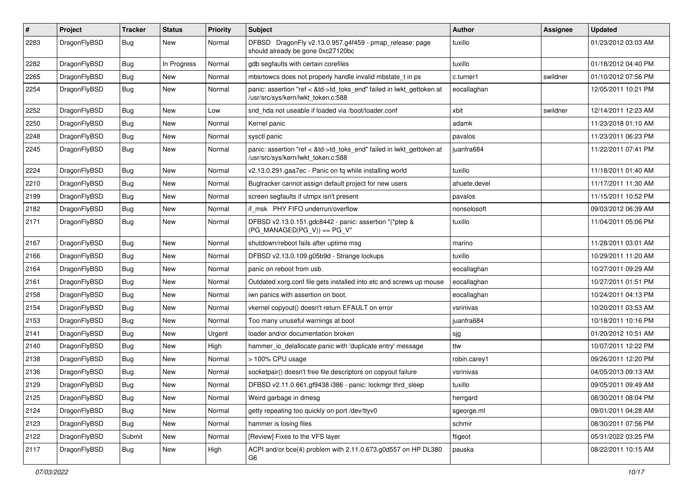| $\sharp$ | Project      | <b>Tracker</b> | <b>Status</b> | <b>Priority</b> | Subject                                                                                                    | Author       | Assignee | <b>Updated</b>      |
|----------|--------------|----------------|---------------|-----------------|------------------------------------------------------------------------------------------------------------|--------------|----------|---------------------|
| 2283     | DragonFlyBSD | Bug            | New           | Normal          | DFBSD DragonFly v2.13.0.957.g4f459 - pmap_release: page<br>should already be gone 0xc27120bc               | tuxillo      |          | 01/23/2012 03:03 AM |
| 2282     | DragonFlyBSD | Bug            | In Progress   | Normal          | gdb segfaults with certain corefiles                                                                       | tuxillo      |          | 01/18/2012 04:40 PM |
| 2265     | DragonFlyBSD | <b>Bug</b>     | New           | Normal          | mbsrtowcs does not properly handle invalid mbstate t in ps                                                 | c.turner1    | swildner | 01/10/2012 07:56 PM |
| 2254     | DragonFlyBSD | Bug            | New           | Normal          | panic: assertion "ref < &td->td_toks_end" failed in lwkt_gettoken at<br>/usr/src/sys/kern/lwkt_token.c:588 | eocallaghan  |          | 12/05/2011 10:21 PM |
| 2252     | DragonFlyBSD | Bug            | New           | Low             | snd_hda not useable if loaded via /boot/loader.conf                                                        | xbit         | swildner | 12/14/2011 12:23 AM |
| 2250     | DragonFlyBSD | Bug            | New           | Normal          | Kernel panic                                                                                               | adamk        |          | 11/23/2018 01:10 AM |
| 2248     | DragonFlyBSD | Bug            | <b>New</b>    | Normal          | sysctl panic                                                                                               | pavalos      |          | 11/23/2011 06:23 PM |
| 2245     | DragonFlyBSD | Bug            | New           | Normal          | panic: assertion "ref < &td->td_toks_end" failed in lwkt_gettoken at<br>/usr/src/sys/kern/lwkt token.c:588 | juanfra684   |          | 11/22/2011 07:41 PM |
| 2224     | DragonFlyBSD | Bug            | New           | Normal          | v2.13.0.291.gaa7ec - Panic on fq while installing world                                                    | tuxillo      |          | 11/18/2011 01:40 AM |
| 2210     | DragonFlyBSD | Bug            | New           | Normal          | Bugtracker cannot assign default project for new users                                                     | ahuete.devel |          | 11/17/2011 11:30 AM |
| 2199     | DragonFlyBSD | Bug            | New           | Normal          | screen segfaults if utmpx isn't present                                                                    | pavalos      |          | 11/15/2011 10:52 PM |
| 2182     | DragonFlyBSD | Bug            | New           | Normal          | if msk PHY FIFO underrun/overflow                                                                          | nonsolosoft  |          | 09/03/2012 06:39 AM |
| 2171     | DragonFlyBSD | Bug            | <b>New</b>    | Normal          | DFBSD v2.13.0.151.gdc8442 - panic: assertion "(*ptep &<br>(PG MANAGED PG V)) == PG V"                      | tuxillo      |          | 11/04/2011 05:06 PM |
| 2167     | DragonFlyBSD | Bug            | <b>New</b>    | Normal          | shutdown/reboot fails after uptime msg                                                                     | marino       |          | 11/28/2011 03:01 AM |
| 2166     | DragonFlyBSD | Bug            | <b>New</b>    | Normal          | DFBSD v2.13.0.109.g05b9d - Strange lockups                                                                 | tuxillo      |          | 10/29/2011 11:20 AM |
| 2164     | DragonFlyBSD | Bug            | New           | Normal          | panic on reboot from usb.                                                                                  | eocallaghan  |          | 10/27/2011 09:29 AM |
| 2161     | DragonFlyBSD | Bug            | New           | Normal          | Outdated xorg.conf file gets installed into etc and screws up mouse                                        | eocallaghan  |          | 10/27/2011 01:51 PM |
| 2158     | DragonFlyBSD | Bug            | New           | Normal          | iwn panics with assertion on boot.                                                                         | eocallaghan  |          | 10/24/2011 04:13 PM |
| 2154     | DragonFlyBSD | Bug            | New           | Normal          | vkernel copyout() doesn't return EFAULT on error                                                           | vsrinivas    |          | 10/20/2011 03:53 AM |
| 2153     | DragonFlyBSD | Bug            | New           | Normal          | Too many unuseful warnings at boot                                                                         | juanfra684   |          | 10/18/2011 10:16 PM |
| 2141     | DragonFlyBSD | Bug            | New           | Urgent          | loader and/or documentation broken                                                                         | sjg          |          | 01/20/2012 10:51 AM |
| 2140     | DragonFlyBSD | Bug            | <b>New</b>    | High            | hammer_io_delallocate panic with 'duplicate entry' message                                                 | ttw          |          | 10/07/2011 12:22 PM |
| 2138     | DragonFlyBSD | Bug            | New           | Normal          | > 100% CPU usage                                                                                           | robin.carey1 |          | 09/26/2011 12:20 PM |
| 2136     | DragonFlyBSD | Bug            | New           | Normal          | socketpair() doesn't free file descriptors on copyout failure                                              | vsrinivas    |          | 04/05/2013 09:13 AM |
| 2129     | DragonFlyBSD | <b>Bug</b>     | New           | Normal          | DFBSD v2.11.0.661.gf9438 i386 - panic: lockmgr thrd sleep                                                  | tuxillo      |          | 09/05/2011 09:49 AM |
| 2125     | DragonFlyBSD | <b>Bug</b>     | New           | Normal          | Weird garbage in dmesg                                                                                     | herrgard     |          | 08/30/2011 08:04 PM |
| 2124     | DragonFlyBSD | <b>Bug</b>     | <b>New</b>    | Normal          | getty repeating too quickly on port /dev/ttyv0                                                             | sgeorge.ml   |          | 09/01/2011 04:28 AM |
| 2123     | DragonFlyBSD | <b>Bug</b>     | New           | Normal          | hammer is losing files                                                                                     | schmir       |          | 08/30/2011 07:56 PM |
| 2122     | DragonFlyBSD | Submit         | New           | Normal          | [Review] Fixes to the VFS layer                                                                            | ftigeot      |          | 05/31/2022 03:25 PM |
| 2117     | DragonFlyBSD | <b>Bug</b>     | New           | High            | ACPI and/or bce(4) problem with 2.11.0.673.g0d557 on HP DL380<br>G6                                        | pauska       |          | 08/22/2011 10:15 AM |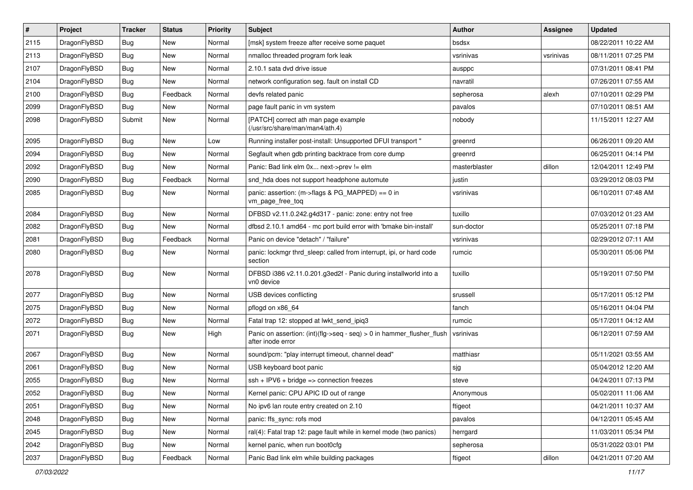| $\pmb{\#}$ | Project      | <b>Tracker</b> | <b>Status</b> | Priority | Subject                                                                                    | <b>Author</b> | <b>Assignee</b> | <b>Updated</b>      |
|------------|--------------|----------------|---------------|----------|--------------------------------------------------------------------------------------------|---------------|-----------------|---------------------|
| 2115       | DragonFlyBSD | Bug            | <b>New</b>    | Normal   | [msk] system freeze after receive some paquet                                              | bsdsx         |                 | 08/22/2011 10:22 AM |
| 2113       | DragonFlyBSD | Bug            | <b>New</b>    | Normal   | nmalloc threaded program fork leak                                                         | vsrinivas     | vsrinivas       | 08/11/2011 07:25 PM |
| 2107       | DragonFlyBSD | Bug            | New           | Normal   | 2.10.1 sata dvd drive issue                                                                | ausppc        |                 | 07/31/2011 08:41 PM |
| 2104       | DragonFlyBSD | Bug            | <b>New</b>    | Normal   | network configuration seg. fault on install CD                                             | navratil      |                 | 07/26/2011 07:55 AM |
| 2100       | DragonFlyBSD | Bug            | Feedback      | Normal   | devfs related panic                                                                        | sepherosa     | alexh           | 07/10/2011 02:29 PM |
| 2099       | DragonFlyBSD | Bug            | <b>New</b>    | Normal   | page fault panic in vm system                                                              | pavalos       |                 | 07/10/2011 08:51 AM |
| 2098       | DragonFlyBSD | Submit         | <b>New</b>    | Normal   | [PATCH] correct ath man page example<br>(/usr/src/share/man/man4/ath.4)                    | nobody        |                 | 11/15/2011 12:27 AM |
| 2095       | DragonFlyBSD | Bug            | <b>New</b>    | Low      | Running installer post-install: Unsupported DFUI transport "                               | greenrd       |                 | 06/26/2011 09:20 AM |
| 2094       | DragonFlyBSD | Bug            | <b>New</b>    | Normal   | Segfault when gdb printing backtrace from core dump                                        | greenrd       |                 | 06/25/2011 04:14 PM |
| 2092       | DragonFlyBSD | Bug            | <b>New</b>    | Normal   | Panic: Bad link elm 0x next->prev != elm                                                   | masterblaster | dillon          | 12/04/2011 12:49 PM |
| 2090       | DragonFlyBSD | Bug            | Feedback      | Normal   | snd_hda does not support headphone automute                                                | justin        |                 | 03/29/2012 08:03 PM |
| 2085       | DragonFlyBSD | Bug            | New           | Normal   | panic: assertion: (m->flags & PG_MAPPED) == 0 in<br>vm_page_free_toq                       | vsrinivas     |                 | 06/10/2011 07:48 AM |
| 2084       | DragonFlyBSD | Bug            | <b>New</b>    | Normal   | DFBSD v2.11.0.242.g4d317 - panic: zone: entry not free                                     | tuxillo       |                 | 07/03/2012 01:23 AM |
| 2082       | DragonFlyBSD | Bug            | New           | Normal   | dfbsd 2.10.1 amd64 - mc port build error with 'bmake bin-install'                          | sun-doctor    |                 | 05/25/2011 07:18 PM |
| 2081       | DragonFlyBSD | Bug            | Feedback      | Normal   | Panic on device "detach" / "failure"                                                       | vsrinivas     |                 | 02/29/2012 07:11 AM |
| 2080       | DragonFlyBSD | Bug            | <b>New</b>    | Normal   | panic: lockmgr thrd_sleep: called from interrupt, ipi, or hard code<br>section             | rumcic        |                 | 05/30/2011 05:06 PM |
| 2078       | DragonFlyBSD | Bug            | <b>New</b>    | Normal   | DFBSD i386 v2.11.0.201.g3ed2f - Panic during installworld into a<br>vn0 device             | tuxillo       |                 | 05/19/2011 07:50 PM |
| 2077       | DragonFlyBSD | Bug            | <b>New</b>    | Normal   | USB devices conflicting                                                                    | srussell      |                 | 05/17/2011 05:12 PM |
| 2075       | DragonFlyBSD | Bug            | <b>New</b>    | Normal   | pflogd on x86 64                                                                           | fanch         |                 | 05/16/2011 04:04 PM |
| 2072       | DragonFlyBSD | Bug            | <b>New</b>    | Normal   | Fatal trap 12: stopped at lwkt send ipig3                                                  | rumcic        |                 | 05/17/2011 04:12 AM |
| 2071       | DragonFlyBSD | Bug            | New           | High     | Panic on assertion: (int)(flg->seq - seq) > 0 in hammer_flusher_flush<br>after inode error | vsrinivas     |                 | 06/12/2011 07:59 AM |
| 2067       | DragonFlyBSD | Bug            | <b>New</b>    | Normal   | sound/pcm: "play interrupt timeout, channel dead"                                          | matthiasr     |                 | 05/11/2021 03:55 AM |
| 2061       | DragonFlyBSD | Bug            | New           | Normal   | USB keyboard boot panic                                                                    | sjg           |                 | 05/04/2012 12:20 AM |
| 2055       | DragonFlyBSD | Bug            | New           | Normal   | $ssh + IPV6 + bridge \Rightarrow$ connection freezes                                       | steve         |                 | 04/24/2011 07:13 PM |
| 2052       | DragonFlyBSD | Bug            | New           | Normal   | Kernel panic: CPU APIC ID out of range                                                     | Anonymous     |                 | 05/02/2011 11:06 AM |
| 2051       | DragonFlyBSD | Bug            | New           | Normal   | No ipv6 lan route entry created on 2.10                                                    | ftigeot       |                 | 04/21/2011 10:37 AM |
| 2048       | DragonFlyBSD | <b>Bug</b>     | New           | Normal   | panic: ffs_sync: rofs mod                                                                  | pavalos       |                 | 04/12/2011 05:45 AM |
| 2045       | DragonFlyBSD | <b>Bug</b>     | New           | Normal   | ral(4): Fatal trap 12: page fault while in kernel mode (two panics)                        | herrgard      |                 | 11/03/2011 05:34 PM |
| 2042       | DragonFlyBSD | <b>Bug</b>     | New           | Normal   | kernel panic, when run boot0cfg                                                            | sepherosa     |                 | 05/31/2022 03:01 PM |
| 2037       | DragonFlyBSD | Bug            | Feedback      | Normal   | Panic Bad link elm while building packages                                                 | ftigeot       | dillon          | 04/21/2011 07:20 AM |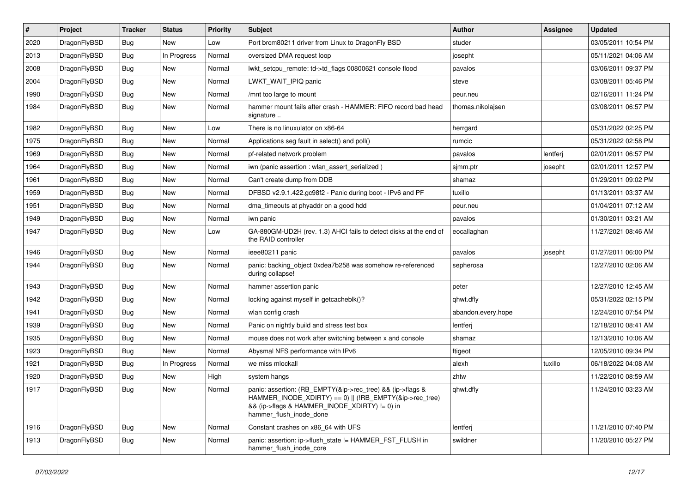| $\#$ | Project      | <b>Tracker</b> | <b>Status</b> | <b>Priority</b> | Subject                                                                                                                                                                                           | <b>Author</b>      | Assignee | <b>Updated</b>      |
|------|--------------|----------------|---------------|-----------------|---------------------------------------------------------------------------------------------------------------------------------------------------------------------------------------------------|--------------------|----------|---------------------|
| 2020 | DragonFlyBSD | <b>Bug</b>     | New           | Low             | Port brcm80211 driver from Linux to DragonFly BSD                                                                                                                                                 | studer             |          | 03/05/2011 10:54 PM |
| 2013 | DragonFlyBSD | <b>Bug</b>     | In Progress   | Normal          | oversized DMA request loop                                                                                                                                                                        | josepht            |          | 05/11/2021 04:06 AM |
| 2008 | DragonFlyBSD | <b>Bug</b>     | New           | Normal          | lwkt_setcpu_remote: td->td_flags 00800621 console flood                                                                                                                                           | pavalos            |          | 03/06/2011 09:37 PM |
| 2004 | DragonFlyBSD | Bug            | <b>New</b>    | Normal          | LWKT WAIT IPIQ panic                                                                                                                                                                              | steve              |          | 03/08/2011 05:46 PM |
| 1990 | DragonFlyBSD | <b>Bug</b>     | New           | Normal          | /mnt too large to mount                                                                                                                                                                           | peur.neu           |          | 02/16/2011 11:24 PM |
| 1984 | DragonFlyBSD | Bug            | New           | Normal          | hammer mount fails after crash - HAMMER: FIFO record bad head<br>signature                                                                                                                        | thomas.nikolajsen  |          | 03/08/2011 06:57 PM |
| 1982 | DragonFlyBSD | <b>Bug</b>     | New           | Low             | There is no linuxulator on x86-64                                                                                                                                                                 | herrgard           |          | 05/31/2022 02:25 PM |
| 1975 | DragonFlyBSD | Bug            | New           | Normal          | Applications seg fault in select() and poll()                                                                                                                                                     | rumcic             |          | 05/31/2022 02:58 PM |
| 1969 | DragonFlyBSD | <b>Bug</b>     | <b>New</b>    | Normal          | pf-related network problem                                                                                                                                                                        | pavalos            | lentferj | 02/01/2011 06:57 PM |
| 1964 | DragonFlyBSD | Bug            | New           | Normal          | iwn (panic assertion : wlan_assert_serialized)                                                                                                                                                    | sjmm.ptr           | josepht  | 02/01/2011 12:57 PM |
| 1961 | DragonFlyBSD | Bug            | <b>New</b>    | Normal          | Can't create dump from DDB                                                                                                                                                                        | shamaz             |          | 01/29/2011 09:02 PM |
| 1959 | DragonFlyBSD | Bug            | New           | Normal          | DFBSD v2.9.1.422.gc98f2 - Panic during boot - IPv6 and PF                                                                                                                                         | tuxillo            |          | 01/13/2011 03:37 AM |
| 1951 | DragonFlyBSD | <b>Bug</b>     | <b>New</b>    | Normal          | dma_timeouts at phyaddr on a good hdd                                                                                                                                                             | peur.neu           |          | 01/04/2011 07:12 AM |
| 1949 | DragonFlyBSD | <b>Bug</b>     | New           | Normal          | iwn panic                                                                                                                                                                                         | pavalos            |          | 01/30/2011 03:21 AM |
| 1947 | DragonFlyBSD | <b>Bug</b>     | New           | Low             | GA-880GM-UD2H (rev. 1.3) AHCI fails to detect disks at the end of<br>the RAID controller                                                                                                          | eocallaghan        |          | 11/27/2021 08:46 AM |
| 1946 | DragonFlyBSD | Bug            | <b>New</b>    | Normal          | ieee80211 panic                                                                                                                                                                                   | pavalos            | josepht  | 01/27/2011 06:00 PM |
| 1944 | DragonFlyBSD | <b>Bug</b>     | New           | Normal          | panic: backing object 0xdea7b258 was somehow re-referenced<br>during collapse!                                                                                                                    | sepherosa          |          | 12/27/2010 02:06 AM |
| 1943 | DragonFlyBSD | <b>Bug</b>     | New           | Normal          | hammer assertion panic                                                                                                                                                                            | peter              |          | 12/27/2010 12:45 AM |
| 1942 | DragonFlyBSD | <b>Bug</b>     | New           | Normal          | locking against myself in getcacheblk()?                                                                                                                                                          | qhwt.dfly          |          | 05/31/2022 02:15 PM |
| 1941 | DragonFlyBSD | <b>Bug</b>     | New           | Normal          | wlan config crash                                                                                                                                                                                 | abandon.every.hope |          | 12/24/2010 07:54 PM |
| 1939 | DragonFlyBSD | Bug            | New           | Normal          | Panic on nightly build and stress test box                                                                                                                                                        | lentferj           |          | 12/18/2010 08:41 AM |
| 1935 | DragonFlyBSD | Bug            | New           | Normal          | mouse does not work after switching between x and console                                                                                                                                         | shamaz             |          | 12/13/2010 10:06 AM |
| 1923 | DragonFlyBSD | Bug            | New           | Normal          | Abysmal NFS performance with IPv6                                                                                                                                                                 | ftigeot            |          | 12/05/2010 09:34 PM |
| 1921 | DragonFlyBSD | <b>Bug</b>     | In Progress   | Normal          | we miss mlockall                                                                                                                                                                                  | alexh              | tuxillo  | 06/18/2022 04:08 AM |
| 1920 | DragonFlyBSD | <b>Bug</b>     | New           | High            | system hangs                                                                                                                                                                                      | zhtw               |          | 11/22/2010 08:59 AM |
| 1917 | DragonFlyBSD | Bug            | New           | Normal          | panic: assertion: (RB_EMPTY(&ip->rec_tree) && (ip->flags &<br>HAMMER_INODE_XDIRTY) == 0)    (!RB_EMPTY(&ip->rec_tree)<br>&& (ip->flags & HAMMER_INODE_XDIRTY) != 0) in<br>hammer_flush_inode_done | qhwt.dfly          |          | 11/24/2010 03:23 AM |
| 1916 | DragonFlyBSD | Bug            | New           | Normal          | Constant crashes on x86 64 with UFS                                                                                                                                                               | lentferj           |          | 11/21/2010 07:40 PM |
| 1913 | DragonFlyBSD | Bug            | New           | Normal          | panic: assertion: ip->flush_state != HAMMER_FST_FLUSH in<br>hammer_flush_inode_core                                                                                                               | swildner           |          | 11/20/2010 05:27 PM |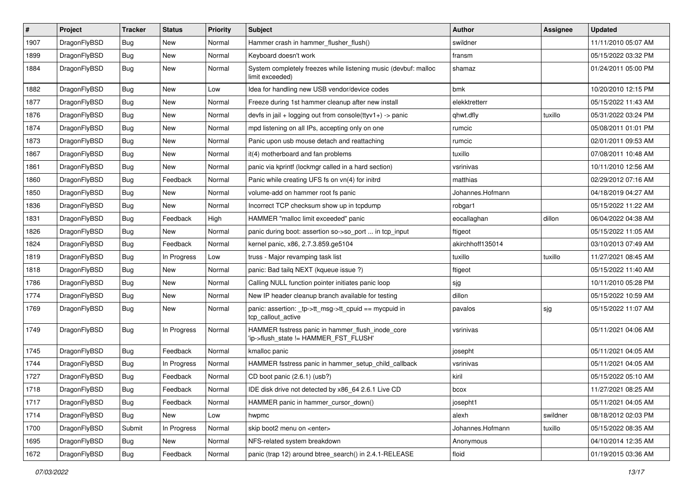| $\sharp$ | Project      | <b>Tracker</b> | <b>Status</b> | <b>Priority</b> | Subject                                                                                   | Author           | Assignee | <b>Updated</b>      |
|----------|--------------|----------------|---------------|-----------------|-------------------------------------------------------------------------------------------|------------------|----------|---------------------|
| 1907     | DragonFlyBSD | Bug            | <b>New</b>    | Normal          | Hammer crash in hammer_flusher_flush()                                                    | swildner         |          | 11/11/2010 05:07 AM |
| 1899     | DragonFlyBSD | Bug            | <b>New</b>    | Normal          | Keyboard doesn't work                                                                     | fransm           |          | 05/15/2022 03:32 PM |
| 1884     | DragonFlyBSD | Bug            | New           | Normal          | System completely freezes while listening music (devbuf: malloc<br>limit exceeded)        | shamaz           |          | 01/24/2011 05:00 PM |
| 1882     | DragonFlyBSD | Bug            | New           | Low             | Idea for handling new USB vendor/device codes                                             | bmk              |          | 10/20/2010 12:15 PM |
| 1877     | DragonFlyBSD | Bug            | New           | Normal          | Freeze during 1st hammer cleanup after new install                                        | elekktretterr    |          | 05/15/2022 11:43 AM |
| 1876     | DragonFlyBSD | Bug            | <b>New</b>    | Normal          | devfs in jail + logging out from console(ttyv1+) -> panic                                 | qhwt.dfly        | tuxillo  | 05/31/2022 03:24 PM |
| 1874     | DragonFlyBSD | Bug            | <b>New</b>    | Normal          | mpd listening on all IPs, accepting only on one                                           | rumcic           |          | 05/08/2011 01:01 PM |
| 1873     | DragonFlyBSD | Bug            | New           | Normal          | Panic upon usb mouse detach and reattaching                                               | rumcic           |          | 02/01/2011 09:53 AM |
| 1867     | DragonFlyBSD | Bug            | <b>New</b>    | Normal          | it(4) motherboard and fan problems                                                        | tuxillo          |          | 07/08/2011 10:48 AM |
| 1861     | DragonFlyBSD | Bug            | New           | Normal          | panic via kprintf (lockmgr called in a hard section)                                      | vsrinivas        |          | 10/11/2010 12:56 AM |
| 1860     | DragonFlyBSD | Bug            | Feedback      | Normal          | Panic while creating UFS fs on vn(4) for initrd                                           | matthias         |          | 02/29/2012 07:16 AM |
| 1850     | DragonFlyBSD | <b>Bug</b>     | New           | Normal          | volume-add on hammer root fs panic                                                        | Johannes.Hofmann |          | 04/18/2019 04:27 AM |
| 1836     | DragonFlyBSD | <b>Bug</b>     | New           | Normal          | Incorrect TCP checksum show up in tcpdump                                                 | robgar1          |          | 05/15/2022 11:22 AM |
| 1831     | DragonFlyBSD | <b>Bug</b>     | Feedback      | High            | HAMMER "malloc limit exceeded" panic                                                      | eocallaghan      | dillon   | 06/04/2022 04:38 AM |
| 1826     | DragonFlyBSD | <b>Bug</b>     | New           | Normal          | panic during boot: assertion so->so_port  in tcp_input                                    | ftigeot          |          | 05/15/2022 11:05 AM |
| 1824     | DragonFlyBSD | <b>Bug</b>     | Feedback      | Normal          | kernel panic, x86, 2.7.3.859.ge5104                                                       | akirchhoff135014 |          | 03/10/2013 07:49 AM |
| 1819     | DragonFlyBSD | <b>Bug</b>     | In Progress   | Low             | truss - Major revamping task list                                                         | tuxillo          | tuxillo  | 11/27/2021 08:45 AM |
| 1818     | DragonFlyBSD | <b>Bug</b>     | New           | Normal          | panic: Bad tailg NEXT (kqueue issue ?)                                                    | ftigeot          |          | 05/15/2022 11:40 AM |
| 1786     | DragonFlyBSD | <b>Bug</b>     | New           | Normal          | Calling NULL function pointer initiates panic loop                                        | sjg              |          | 10/11/2010 05:28 PM |
| 1774     | DragonFlyBSD | <b>Bug</b>     | <b>New</b>    | Normal          | New IP header cleanup branch available for testing                                        | dillon           |          | 05/15/2022 10:59 AM |
| 1769     | DragonFlyBSD | <b>Bug</b>     | New           | Normal          | panic: assertion: _tp->tt_msg->tt_cpuid == mycpuid in<br>tcp_callout_active               | pavalos          | sjg      | 05/15/2022 11:07 AM |
| 1749     | DragonFlyBSD | <b>Bug</b>     | In Progress   | Normal          | HAMMER fsstress panic in hammer_flush_inode_core<br>'ip->flush_state != HAMMER_FST_FLUSH' | vsrinivas        |          | 05/11/2021 04:06 AM |
| 1745     | DragonFlyBSD | <b>Bug</b>     | Feedback      | Normal          | kmalloc panic                                                                             | josepht          |          | 05/11/2021 04:05 AM |
| 1744     | DragonFlyBSD | <b>Bug</b>     | In Progress   | Normal          | HAMMER fsstress panic in hammer_setup_child_callback                                      | vsrinivas        |          | 05/11/2021 04:05 AM |
| 1727     | DragonFlyBSD | <b>Bug</b>     | Feedback      | Normal          | CD boot panic (2.6.1) (usb?)                                                              | kiril            |          | 05/15/2022 05:10 AM |
| 1718     | DragonFlyBSD | Bug            | Feedback      | Normal          | IDE disk drive not detected by x86 64 2.6.1 Live CD                                       | bcox             |          | 11/27/2021 08:25 AM |
| 1717     | DragonFlyBSD | <b>Bug</b>     | Feedback      | Normal          | HAMMER panic in hammer cursor down()                                                      | josepht1         |          | 05/11/2021 04:05 AM |
| 1714     | DragonFlyBSD | Bug            | New           | Low             | hwpmc                                                                                     | alexh            | swildner | 08/18/2012 02:03 PM |
| 1700     | DragonFlyBSD | Submit         | In Progress   | Normal          | skip boot2 menu on <enter></enter>                                                        | Johannes.Hofmann | tuxillo  | 05/15/2022 08:35 AM |
| 1695     | DragonFlyBSD | Bug            | New           | Normal          | NFS-related system breakdown                                                              | Anonymous        |          | 04/10/2014 12:35 AM |
| 1672     | DragonFlyBSD | <b>Bug</b>     | Feedback      | Normal          | panic (trap 12) around btree_search() in 2.4.1-RELEASE                                    | floid            |          | 01/19/2015 03:36 AM |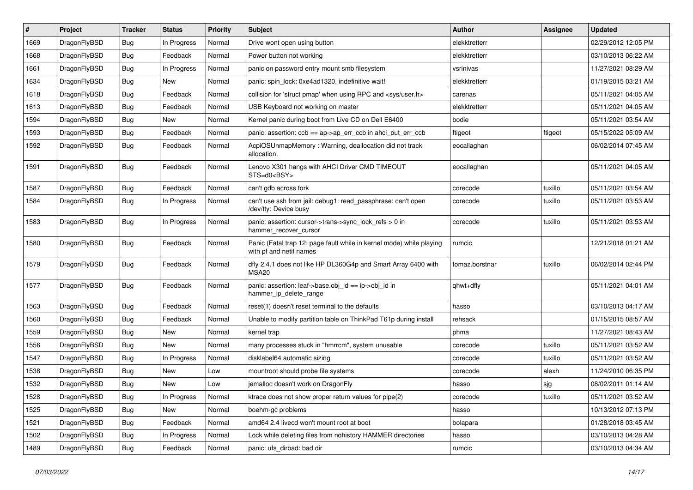| ∦    | Project      | <b>Tracker</b> | <b>Status</b> | <b>Priority</b> | <b>Subject</b>                                                                                  | Author         | Assignee | <b>Updated</b>      |
|------|--------------|----------------|---------------|-----------------|-------------------------------------------------------------------------------------------------|----------------|----------|---------------------|
| 1669 | DragonFlyBSD | <b>Bug</b>     | In Progress   | Normal          | Drive wont open using button                                                                    | elekktretterr  |          | 02/29/2012 12:05 PM |
| 1668 | DragonFlyBSD | <b>Bug</b>     | Feedback      | Normal          | Power button not working                                                                        | elekktretterr  |          | 03/10/2013 06:22 AM |
| 1661 | DragonFlyBSD | <b>Bug</b>     | In Progress   | Normal          | panic on password entry mount smb filesystem                                                    | vsrinivas      |          | 11/27/2021 08:29 AM |
| 1634 | DragonFlyBSD | <b>Bug</b>     | New           | Normal          | panic: spin lock: 0xe4ad1320, indefinitive wait!                                                | elekktretterr  |          | 01/19/2015 03:21 AM |
| 1618 | DragonFlyBSD | <b>Bug</b>     | Feedback      | Normal          | collision for 'struct pmap' when using RPC and <sys user.h=""></sys>                            | carenas        |          | 05/11/2021 04:05 AM |
| 1613 | DragonFlyBSD | <b>Bug</b>     | Feedback      | Normal          | USB Keyboard not working on master                                                              | elekktretterr  |          | 05/11/2021 04:05 AM |
| 1594 | DragonFlyBSD | <b>Bug</b>     | <b>New</b>    | Normal          | Kernel panic during boot from Live CD on Dell E6400                                             | bodie          |          | 05/11/2021 03:54 AM |
| 1593 | DragonFlyBSD | <b>Bug</b>     | Feedback      | Normal          | panic: assertion: ccb == ap->ap_err_ccb in ahci_put_err_ccb                                     | ftigeot        | ftigeot  | 05/15/2022 05:09 AM |
| 1592 | DragonFlyBSD | <b>Bug</b>     | Feedback      | Normal          | AcpiOSUnmapMemory: Warning, deallocation did not track<br>allocation.                           | eocallaghan    |          | 06/02/2014 07:45 AM |
| 1591 | DragonFlyBSD | <b>Bug</b>     | Feedback      | Normal          | Lenovo X301 hangs with AHCI Driver CMD TIMEOUT<br>STS=d0 <bsy></bsy>                            | eocallaghan    |          | 05/11/2021 04:05 AM |
| 1587 | DragonFlyBSD | <b>Bug</b>     | Feedback      | Normal          | can't gdb across fork                                                                           | corecode       | tuxillo  | 05/11/2021 03:54 AM |
| 1584 | DragonFlyBSD | Bug            | In Progress   | Normal          | can't use ssh from jail: debug1: read_passphrase: can't open<br>/dev/tty: Device busy           | corecode       | tuxillo  | 05/11/2021 03:53 AM |
| 1583 | DragonFlyBSD | Bug            | In Progress   | Normal          | panic: assertion: cursor->trans->sync_lock_refs > 0 in<br>hammer_recover_cursor                 | corecode       | tuxillo  | 05/11/2021 03:53 AM |
| 1580 | DragonFlyBSD | Bug            | Feedback      | Normal          | Panic (Fatal trap 12: page fault while in kernel mode) while playing<br>with pf and netif names | rumcic         |          | 12/21/2018 01:21 AM |
| 1579 | DragonFlyBSD | Bug            | Feedback      | Normal          | dfly 2.4.1 does not like HP DL360G4p and Smart Array 6400 with<br><b>MSA20</b>                  | tomaz.borstnar | tuxillo  | 06/02/2014 02:44 PM |
| 1577 | DragonFlyBSD | Bug            | Feedback      | Normal          | panic: assertion: leaf->base.obj_id == ip->obj_id in<br>hammer_ip_delete_range                  | qhwt+dfly      |          | 05/11/2021 04:01 AM |
| 1563 | DragonFlyBSD | <b>Bug</b>     | Feedback      | Normal          | reset(1) doesn't reset terminal to the defaults                                                 | hasso          |          | 03/10/2013 04:17 AM |
| 1560 | DragonFlyBSD | <b>Bug</b>     | Feedback      | Normal          | Unable to modify partition table on ThinkPad T61p during install                                | rehsack        |          | 01/15/2015 08:57 AM |
| 1559 | DragonFlyBSD | <b>Bug</b>     | <b>New</b>    | Normal          | kernel trap                                                                                     | phma           |          | 11/27/2021 08:43 AM |
| 1556 | DragonFlyBSD | <b>Bug</b>     | New           | Normal          | many processes stuck in "hmrrcm", system unusable                                               | corecode       | tuxillo  | 05/11/2021 03:52 AM |
| 1547 | DragonFlyBSD | <b>Bug</b>     | In Progress   | Normal          | disklabel64 automatic sizing                                                                    | corecode       | tuxillo  | 05/11/2021 03:52 AM |
| 1538 | DragonFlyBSD | <b>Bug</b>     | <b>New</b>    | Low             | mountroot should probe file systems                                                             | corecode       | alexh    | 11/24/2010 06:35 PM |
| 1532 | DragonFlyBSD | <b>Bug</b>     | New           | Low             | jemalloc doesn't work on DragonFly                                                              | hasso          | sjg      | 08/02/2011 01:14 AM |
| 1528 | DragonFlyBSD | Bug            | In Progress   | Normal          | ktrace does not show proper return values for pipe(2)                                           | corecode       | tuxillo  | 05/11/2021 03:52 AM |
| 1525 | DragonFlyBSD | <b>Bug</b>     | New           | Normal          | boehm-gc problems                                                                               | hasso          |          | 10/13/2012 07:13 PM |
| 1521 | DragonFlyBSD | <b>Bug</b>     | Feedback      | Normal          | amd64 2.4 livecd won't mount root at boot                                                       | bolapara       |          | 01/28/2018 03:45 AM |
| 1502 | DragonFlyBSD | <b>Bug</b>     | In Progress   | Normal          | Lock while deleting files from nohistory HAMMER directories                                     | hasso          |          | 03/10/2013 04:28 AM |
| 1489 | DragonFlyBSD | <b>Bug</b>     | Feedback      | Normal          | panic: ufs_dirbad: bad dir                                                                      | rumcic         |          | 03/10/2013 04:34 AM |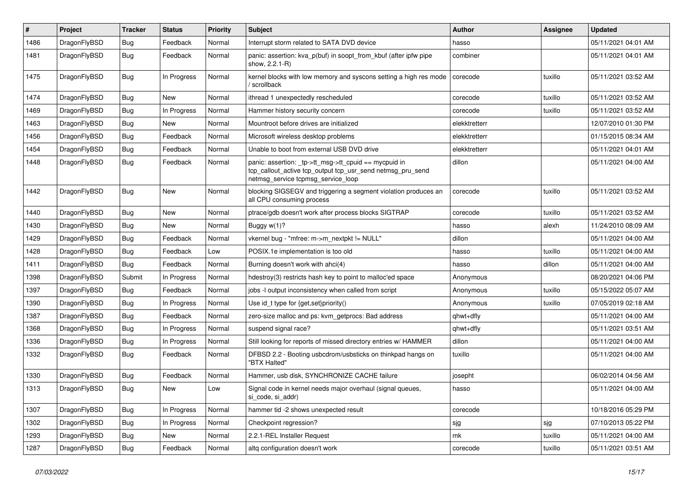| $\pmb{\#}$ | Project      | <b>Tracker</b> | <b>Status</b> | <b>Priority</b> | Subject                                                                                                                                                   | <b>Author</b> | <b>Assignee</b> | <b>Updated</b>      |
|------------|--------------|----------------|---------------|-----------------|-----------------------------------------------------------------------------------------------------------------------------------------------------------|---------------|-----------------|---------------------|
| 1486       | DragonFlyBSD | <b>Bug</b>     | Feedback      | Normal          | Interrupt storm related to SATA DVD device                                                                                                                | hasso         |                 | 05/11/2021 04:01 AM |
| 1481       | DragonFlyBSD | <b>Bug</b>     | Feedback      | Normal          | panic: assertion: kva_p(buf) in soopt_from_kbuf (after ipfw pipe<br>show, 2.2.1-R)                                                                        | combiner      |                 | 05/11/2021 04:01 AM |
| 1475       | DragonFlyBSD | Bug            | In Progress   | Normal          | kernel blocks with low memory and syscons setting a high res mode<br>/ scrollback                                                                         | corecode      | tuxillo         | 05/11/2021 03:52 AM |
| 1474       | DragonFlyBSD | <b>Bug</b>     | New           | Normal          | ithread 1 unexpectedly rescheduled                                                                                                                        | corecode      | tuxillo         | 05/11/2021 03:52 AM |
| 1469       | DragonFlyBSD | Bug            | In Progress   | Normal          | Hammer history security concern                                                                                                                           | corecode      | tuxillo         | 05/11/2021 03:52 AM |
| 1463       | DragonFlyBSD | <b>Bug</b>     | New           | Normal          | Mountroot before drives are initialized                                                                                                                   | elekktretterr |                 | 12/07/2010 01:30 PM |
| 1456       | DragonFlyBSD | Bug            | Feedback      | Normal          | Microsoft wireless desktop problems                                                                                                                       | elekktretterr |                 | 01/15/2015 08:34 AM |
| 1454       | DragonFlyBSD | <b>Bug</b>     | Feedback      | Normal          | Unable to boot from external USB DVD drive                                                                                                                | elekktretterr |                 | 05/11/2021 04:01 AM |
| 1448       | DragonFlyBSD | <b>Bug</b>     | Feedback      | Normal          | panic: assertion: _tp->tt_msg->tt_cpuid == mycpuid in<br>tcp_callout_active tcp_output tcp_usr_send netmsg_pru_send<br>netmsg_service tcpmsg_service_loop | dillon        |                 | 05/11/2021 04:00 AM |
| 1442       | DragonFlyBSD | Bug            | <b>New</b>    | Normal          | blocking SIGSEGV and triggering a segment violation produces an<br>all CPU consuming process                                                              | corecode      | tuxillo         | 05/11/2021 03:52 AM |
| 1440       | DragonFlyBSD | <b>Bug</b>     | <b>New</b>    | Normal          | ptrace/gdb doesn't work after process blocks SIGTRAP                                                                                                      | corecode      | tuxillo         | 05/11/2021 03:52 AM |
| 1430       | DragonFlyBSD | <b>Bug</b>     | New           | Normal          | Buggy w(1)?                                                                                                                                               | hasso         | alexh           | 11/24/2010 08:09 AM |
| 1429       | DragonFlyBSD | <b>Bug</b>     | Feedback      | Normal          | vkernel bug - "mfree: m->m_nextpkt != NULL"                                                                                                               | dillon        |                 | 05/11/2021 04:00 AM |
| 1428       | DragonFlyBSD | <b>Bug</b>     | Feedback      | Low             | POSIX.1e implementation is too old                                                                                                                        | hasso         | tuxillo         | 05/11/2021 04:00 AM |
| 1411       | DragonFlyBSD | Bug            | Feedback      | Normal          | Burning doesn't work with ahci(4)                                                                                                                         | hasso         | dillon          | 05/11/2021 04:00 AM |
| 1398       | DragonFlyBSD | Submit         | In Progress   | Normal          | hdestroy(3) restricts hash key to point to malloc'ed space                                                                                                | Anonymous     |                 | 08/20/2021 04:06 PM |
| 1397       | DragonFlyBSD | <b>Bug</b>     | Feedback      | Normal          | jobs -I output inconsistency when called from script                                                                                                      | Anonymous     | tuxillo         | 05/15/2022 05:07 AM |
| 1390       | DragonFlyBSD | Bug            | In Progress   | Normal          | Use id_t type for {get,set}priority()                                                                                                                     | Anonymous     | tuxillo         | 07/05/2019 02:18 AM |
| 1387       | DragonFlyBSD | <b>Bug</b>     | Feedback      | Normal          | zero-size malloc and ps: kvm getprocs: Bad address                                                                                                        | qhwt+dfly     |                 | 05/11/2021 04:00 AM |
| 1368       | DragonFlyBSD | <b>Bug</b>     | In Progress   | Normal          | suspend signal race?                                                                                                                                      | qhwt+dfly     |                 | 05/11/2021 03:51 AM |
| 1336       | DragonFlyBSD | <b>Bug</b>     | In Progress   | Normal          | Still looking for reports of missed directory entries w/ HAMMER                                                                                           | dillon        |                 | 05/11/2021 04:00 AM |
| 1332       | DragonFlyBSD | Bug            | Feedback      | Normal          | DFBSD 2.2 - Booting usbcdrom/usbsticks on thinkpad hangs on<br>"BTX Halted"                                                                               | tuxillo       |                 | 05/11/2021 04:00 AM |
| 1330       | DragonFlyBSD | <b>Bug</b>     | Feedback      | Normal          | Hammer, usb disk, SYNCHRONIZE CACHE failure                                                                                                               | josepht       |                 | 06/02/2014 04:56 AM |
| 1313       | DragonFlyBSD | <b>Bug</b>     | New           | Low             | Signal code in kernel needs major overhaul (signal queues,<br>si_code, si_addr)                                                                           | hasso         |                 | 05/11/2021 04:00 AM |
| 1307       | DragonFlyBSD | <b>Bug</b>     | In Progress   | Normal          | hammer tid -2 shows unexpected result                                                                                                                     | corecode      |                 | 10/18/2016 05:29 PM |
| 1302       | DragonFlyBSD | Bug            | In Progress   | Normal          | Checkpoint regression?                                                                                                                                    | sjg           | sjg             | 07/10/2013 05:22 PM |
| 1293       | DragonFlyBSD | Bug            | New           | Normal          | 2.2.1-REL Installer Request                                                                                                                               | mk            | tuxillo         | 05/11/2021 04:00 AM |
| 1287       | DragonFlyBSD | <b>Bug</b>     | Feedback      | Normal          | altq configuration doesn't work                                                                                                                           | corecode      | tuxillo         | 05/11/2021 03:51 AM |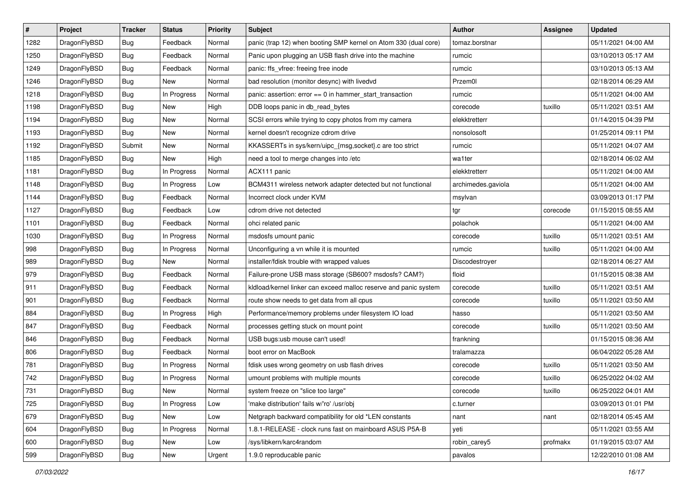| $\sharp$ | Project      | <b>Tracker</b> | <b>Status</b> | <b>Priority</b> | <b>Subject</b>                                                   | Author             | <b>Assignee</b> | <b>Updated</b>      |
|----------|--------------|----------------|---------------|-----------------|------------------------------------------------------------------|--------------------|-----------------|---------------------|
| 1282     | DragonFlyBSD | <b>Bug</b>     | Feedback      | Normal          | panic (trap 12) when booting SMP kernel on Atom 330 (dual core)  | tomaz.borstnar     |                 | 05/11/2021 04:00 AM |
| 1250     | DragonFlyBSD | <b>Bug</b>     | Feedback      | Normal          | Panic upon plugging an USB flash drive into the machine          | rumcic             |                 | 03/10/2013 05:17 AM |
| 1249     | DragonFlyBSD | <b>Bug</b>     | Feedback      | Normal          | panic: ffs_vfree: freeing free inode                             | rumcic             |                 | 03/10/2013 05:13 AM |
| 1246     | DragonFlyBSD | <b>Bug</b>     | New           | Normal          | bad resolution (monitor desync) with livedvd                     | Przem0l            |                 | 02/18/2014 06:29 AM |
| 1218     | DragonFlyBSD | <b>Bug</b>     | In Progress   | Normal          | panic: assertion: error == 0 in hammer_start_transaction         | rumcic             |                 | 05/11/2021 04:00 AM |
| 1198     | DragonFlyBSD | <b>Bug</b>     | New           | High            | DDB loops panic in db_read_bytes                                 | corecode           | tuxillo         | 05/11/2021 03:51 AM |
| 1194     | DragonFlyBSD | <b>Bug</b>     | New           | Normal          | SCSI errors while trying to copy photos from my camera           | elekktretterr      |                 | 01/14/2015 04:39 PM |
| 1193     | DragonFlyBSD | <b>Bug</b>     | <b>New</b>    | Normal          | kernel doesn't recognize cdrom drive                             | nonsolosoft        |                 | 01/25/2014 09:11 PM |
| 1192     | DragonFlyBSD | Submit         | <b>New</b>    | Normal          | KKASSERTs in sys/kern/uipc_{msg,socket}.c are too strict         | rumcic             |                 | 05/11/2021 04:07 AM |
| 1185     | DragonFlyBSD | Bug            | <b>New</b>    | High            | need a tool to merge changes into /etc                           | wa1ter             |                 | 02/18/2014 06:02 AM |
| 1181     | DragonFlyBSD | <b>Bug</b>     | In Progress   | Normal          | ACX111 panic                                                     | elekktretterr      |                 | 05/11/2021 04:00 AM |
| 1148     | DragonFlyBSD | <b>Bug</b>     | In Progress   | Low             | BCM4311 wireless network adapter detected but not functional     | archimedes.gaviola |                 | 05/11/2021 04:00 AM |
| 1144     | DragonFlyBSD | Bug            | Feedback      | Normal          | Incorrect clock under KVM                                        | msylvan            |                 | 03/09/2013 01:17 PM |
| 1127     | DragonFlyBSD | <b>Bug</b>     | Feedback      | Low             | cdrom drive not detected                                         | tgr                | corecode        | 01/15/2015 08:55 AM |
| 1101     | DragonFlyBSD | Bug            | Feedback      | Normal          | ohci related panic                                               | polachok           |                 | 05/11/2021 04:00 AM |
| 1030     | DragonFlyBSD | <b>Bug</b>     | In Progress   | Normal          | msdosfs umount panic                                             | corecode           | tuxillo         | 05/11/2021 03:51 AM |
| 998      | DragonFlyBSD | <b>Bug</b>     | In Progress   | Normal          | Unconfiguring a vn while it is mounted                           | rumcic             | tuxillo         | 05/11/2021 04:00 AM |
| 989      | DragonFlyBSD | Bug            | <b>New</b>    | Normal          | installer/fdisk trouble with wrapped values                      | Discodestroyer     |                 | 02/18/2014 06:27 AM |
| 979      | DragonFlyBSD | <b>Bug</b>     | Feedback      | Normal          | Failure-prone USB mass storage (SB600? msdosfs? CAM?)            | floid              |                 | 01/15/2015 08:38 AM |
| 911      | DragonFlyBSD | <b>Bug</b>     | Feedback      | Normal          | kldload/kernel linker can exceed malloc reserve and panic system | corecode           | tuxillo         | 05/11/2021 03:51 AM |
| 901      | DragonFlyBSD | Bug            | Feedback      | Normal          | route show needs to get data from all cpus                       | corecode           | tuxillo         | 05/11/2021 03:50 AM |
| 884      | DragonFlyBSD | <b>Bug</b>     | In Progress   | High            | Performance/memory problems under filesystem IO load             | hasso              |                 | 05/11/2021 03:50 AM |
| 847      | DragonFlyBSD | Bug            | Feedback      | Normal          | processes getting stuck on mount point                           | corecode           | tuxillo         | 05/11/2021 03:50 AM |
| 846      | DragonFlyBSD | <b>Bug</b>     | Feedback      | Normal          | USB bugs:usb mouse can't used!                                   | frankning          |                 | 01/15/2015 08:36 AM |
| 806      | DragonFlyBSD | <b>Bug</b>     | Feedback      | Normal          | boot error on MacBook                                            | tralamazza         |                 | 06/04/2022 05:28 AM |
| 781      | DragonFlyBSD | Bug            | In Progress   | Normal          | fdisk uses wrong geometry on usb flash drives                    | corecode           | tuxillo         | 05/11/2021 03:50 AM |
| 742      | DragonFlyBSD | <b>Bug</b>     | In Progress   | Normal          | umount problems with multiple mounts                             | corecode           | tuxillo         | 06/25/2022 04:02 AM |
| 731      | DragonFlyBSD | <b>Bug</b>     | New           | Normal          | system freeze on "slice too large"                               | corecode           | tuxillo         | 06/25/2022 04:01 AM |
| 725      | DragonFlyBSD | <b>Bug</b>     | In Progress   | Low             | 'make distribution' fails w/'ro' /usr/obj                        | c.turner           |                 | 03/09/2013 01:01 PM |
| 679      | DragonFlyBSD | <b>Bug</b>     | New           | Low             | Netgraph backward compatibility for old *LEN constants           | nant               | nant            | 02/18/2014 05:45 AM |
| 604      | DragonFlyBSD | <b>Bug</b>     | In Progress   | Normal          | 1.8.1-RELEASE - clock runs fast on mainboard ASUS P5A-B          | yeti               |                 | 05/11/2021 03:55 AM |
| 600      | DragonFlyBSD | <b>Bug</b>     | New           | Low             | /sys/libkern/karc4random                                         | robin_carey5       | profmakx        | 01/19/2015 03:07 AM |
| 599      | DragonFlyBSD | Bug            | New           | Urgent          | 1.9.0 reproducable panic                                         | pavalos            |                 | 12/22/2010 01:08 AM |